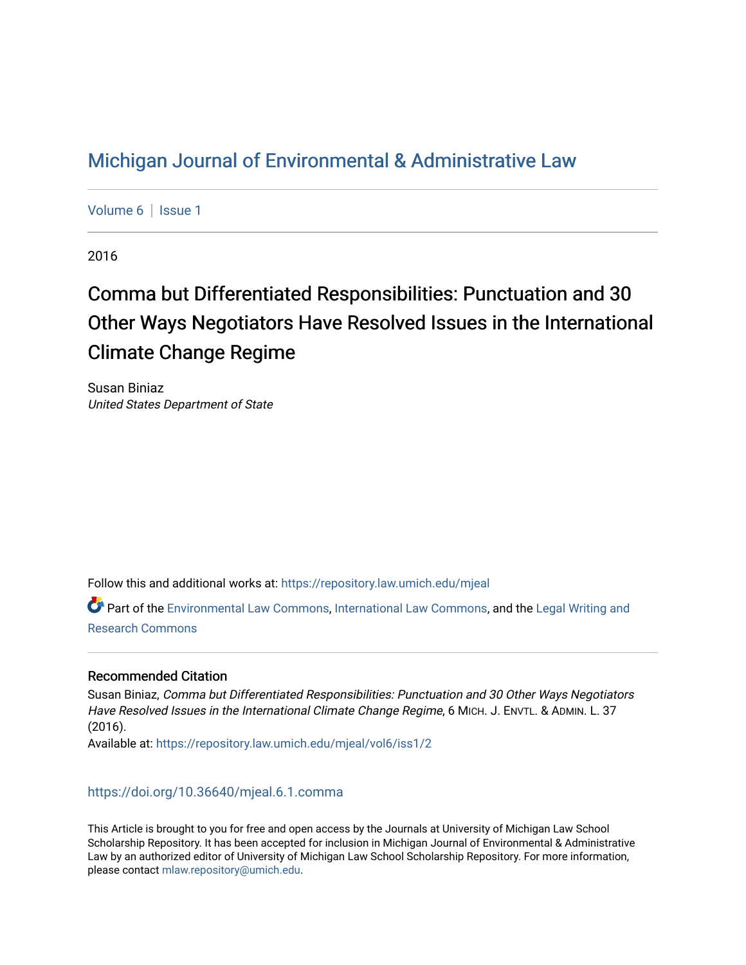## [Michigan Journal of Environmental & Administrative Law](https://repository.law.umich.edu/mjeal)

[Volume 6](https://repository.law.umich.edu/mjeal/vol6) | Issue 1

2016

# Comma but Differentiated Responsibilities: Punctuation and 30 Other Ways Negotiators Have Resolved Issues in the International Climate Change Regime

Susan Biniaz United States Department of State

Follow this and additional works at: [https://repository.law.umich.edu/mjeal](https://repository.law.umich.edu/mjeal?utm_source=repository.law.umich.edu%2Fmjeal%2Fvol6%2Fiss1%2F2&utm_medium=PDF&utm_campaign=PDFCoverPages)

Part of the [Environmental Law Commons](http://network.bepress.com/hgg/discipline/599?utm_source=repository.law.umich.edu%2Fmjeal%2Fvol6%2Fiss1%2F2&utm_medium=PDF&utm_campaign=PDFCoverPages), [International Law Commons](http://network.bepress.com/hgg/discipline/609?utm_source=repository.law.umich.edu%2Fmjeal%2Fvol6%2Fiss1%2F2&utm_medium=PDF&utm_campaign=PDFCoverPages), and the [Legal Writing and](http://network.bepress.com/hgg/discipline/614?utm_source=repository.law.umich.edu%2Fmjeal%2Fvol6%2Fiss1%2F2&utm_medium=PDF&utm_campaign=PDFCoverPages) [Research Commons](http://network.bepress.com/hgg/discipline/614?utm_source=repository.law.umich.edu%2Fmjeal%2Fvol6%2Fiss1%2F2&utm_medium=PDF&utm_campaign=PDFCoverPages) 

## Recommended Citation

Susan Biniaz, Comma but Differentiated Responsibilities: Punctuation and 30 Other Ways Negotiators Have Resolved Issues in the International Climate Change Regime, 6 MICH. J. ENVTL. & ADMIN. L. 37 (2016). Available at: [https://repository.law.umich.edu/mjeal/vol6/iss1/2](https://repository.law.umich.edu/mjeal/vol6/iss1/2?utm_source=repository.law.umich.edu%2Fmjeal%2Fvol6%2Fiss1%2F2&utm_medium=PDF&utm_campaign=PDFCoverPages)

<https://doi.org/10.36640/mjeal.6.1.comma>

This Article is brought to you for free and open access by the Journals at University of Michigan Law School Scholarship Repository. It has been accepted for inclusion in Michigan Journal of Environmental & Administrative Law by an authorized editor of University of Michigan Law School Scholarship Repository. For more information, please contact [mlaw.repository@umich.edu.](mailto:mlaw.repository@umich.edu)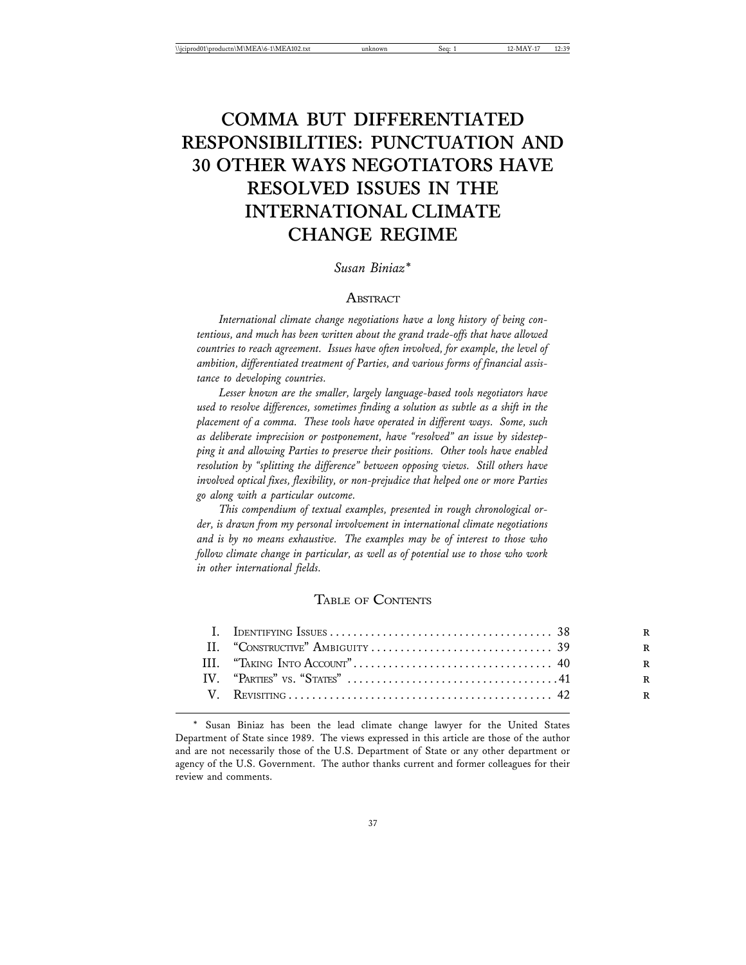## **COMMA BUT DIFFERENTIATED RESPONSIBILITIES: PUNCTUATION AND 30 OTHER WAYS NEGOTIATORS HAVE RESOLVED ISSUES IN THE INTERNATIONAL CLIMATE CHANGE REGIME**

## *Susan Biniaz\**

#### **ABSTRACT**

*International climate change negotiations have a long history of being contentious, and much has been written about the grand trade-offs that have allowed countries to reach agreement. Issues have often involved, for example, the level of ambition, differentiated treatment of Parties, and various forms of financial assistance to developing countries.*

*Lesser known are the smaller, largely language-based tools negotiators have used to resolve differences, sometimes finding a solution as subtle as a shift in the placement of a comma. These tools have operated in different ways. Some, such as deliberate imprecision or postponement, have "resolved" an issue by sidestepping it and allowing Parties to preserve their positions. Other tools have enabled resolution by "splitting the difference" between opposing views. Still others have involved optical fixes, flexibility, or non-prejudice that helped one or more Parties go along with a particular outcome.*

*This compendium of textual examples, presented in rough chronological order, is drawn from my personal involvement in international climate negotiations and is by no means exhaustive. The examples may be of interest to those who follow climate change in particular, as well as of potential use to those who work in other international fields.*

## TABLE OF CONTENTS

Susan Biniaz has been the lead climate change lawyer for the United States Department of State since 1989. The views expressed in this article are those of the author and are not necessarily those of the U.S. Department of State or any other department or agency of the U.S. Government. The author thanks current and former colleagues for their review and comments.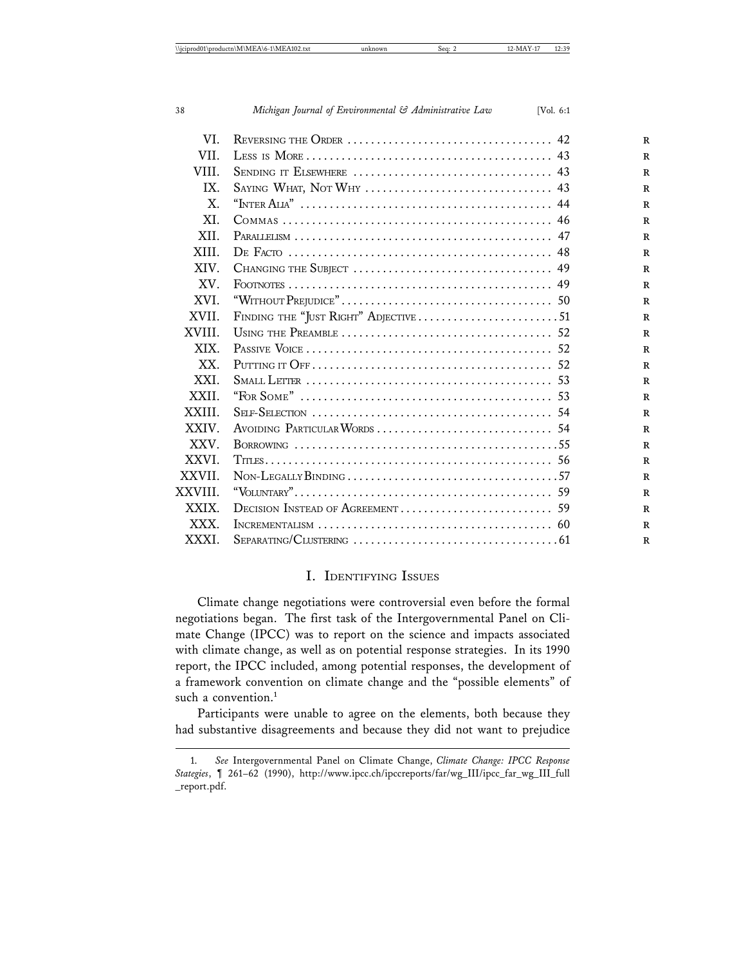| VI.         |                                                                                            |
|-------------|--------------------------------------------------------------------------------------------|
| VII.        |                                                                                            |
| VIII.       |                                                                                            |
| IX.         |                                                                                            |
| $X_{\cdot}$ | "INTER ALLA" $\dots\dots\dots\dots\dots\dots\dots\dots\dots\dots\dots\dots\dots\dots\dots$ |
| XI.         |                                                                                            |
| XII.        |                                                                                            |
| XIII.       |                                                                                            |
| XIV.        |                                                                                            |
| XV.         |                                                                                            |
| XVI.        |                                                                                            |
| XVII.       |                                                                                            |
| XVIII.      |                                                                                            |
| XIX.        |                                                                                            |
| XX.         |                                                                                            |
| XXI.        |                                                                                            |
| XXII.       |                                                                                            |
| XXIII.      |                                                                                            |
| XXIV.       |                                                                                            |
| XXV.        |                                                                                            |
| XXVI.       |                                                                                            |
| XXVII.      |                                                                                            |
| XXVIII.     |                                                                                            |
| XXIX.       |                                                                                            |
| XXX.        |                                                                                            |
| XXXI.       |                                                                                            |

## I. IDENTIFYING ISSUES

Climate change negotiations were controversial even before the formal negotiations began. The first task of the Intergovernmental Panel on Climate Change (IPCC) was to report on the science and impacts associated with climate change, as well as on potential response strategies. In its 1990 report, the IPCC included, among potential responses, the development of a framework convention on climate change and the "possible elements" of such a convention.<sup>1</sup>

Participants were unable to agree on the elements, both because they had substantive disagreements and because they did not want to prejudice

<sup>1.</sup> *See* Intergovernmental Panel on Climate Change, *Climate Change: IPCC Response Stategies*, ¶ 261–62 (1990), http://www.ipcc.ch/ipccreports/far/wg\_III/ipcc\_far\_wg\_III\_full \_report.pdf.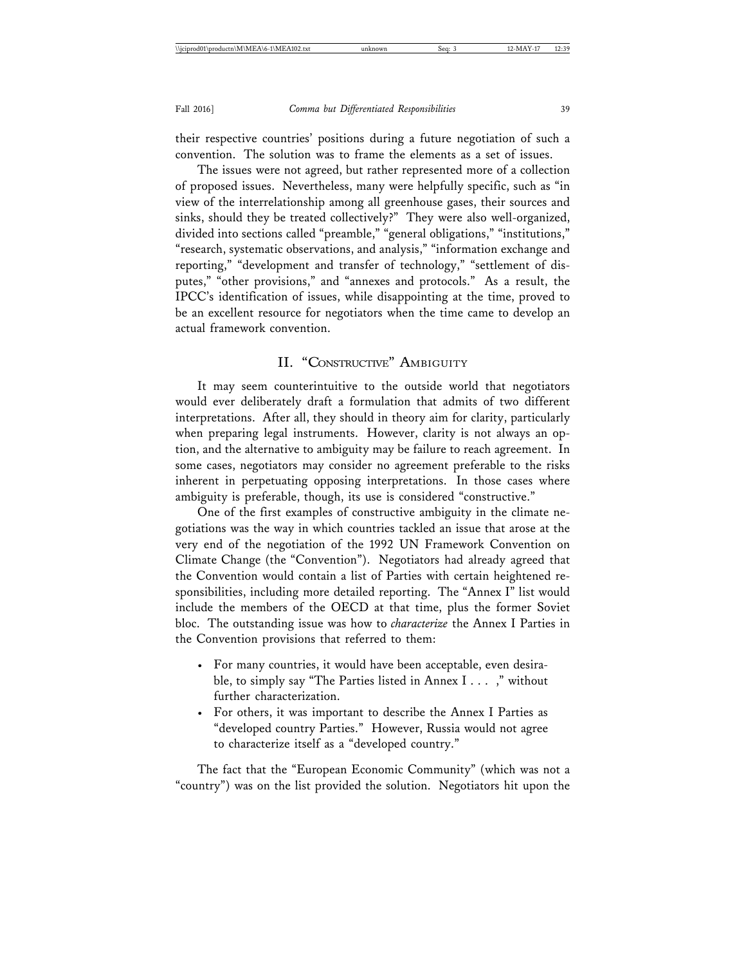their respective countries' positions during a future negotiation of such a convention. The solution was to frame the elements as a set of issues.

The issues were not agreed, but rather represented more of a collection of proposed issues. Nevertheless, many were helpfully specific, such as "in view of the interrelationship among all greenhouse gases, their sources and sinks, should they be treated collectively?" They were also well-organized, divided into sections called "preamble," "general obligations," "institutions," "research, systematic observations, and analysis," "information exchange and reporting," "development and transfer of technology," "settlement of disputes," "other provisions," and "annexes and protocols." As a result, the IPCC's identification of issues, while disappointing at the time, proved to be an excellent resource for negotiators when the time came to develop an actual framework convention.

#### II. "CONSTRUCTIVE" AMBIGUITY

It may seem counterintuitive to the outside world that negotiators would ever deliberately draft a formulation that admits of two different interpretations. After all, they should in theory aim for clarity, particularly when preparing legal instruments. However, clarity is not always an option, and the alternative to ambiguity may be failure to reach agreement. In some cases, negotiators may consider no agreement preferable to the risks inherent in perpetuating opposing interpretations. In those cases where ambiguity is preferable, though, its use is considered "constructive."

One of the first examples of constructive ambiguity in the climate negotiations was the way in which countries tackled an issue that arose at the very end of the negotiation of the 1992 UN Framework Convention on Climate Change (the "Convention"). Negotiators had already agreed that the Convention would contain a list of Parties with certain heightened responsibilities, including more detailed reporting. The "Annex I" list would include the members of the OECD at that time, plus the former Soviet bloc. The outstanding issue was how to *characterize* the Annex I Parties in the Convention provisions that referred to them:

- For many countries, it would have been acceptable, even desirable, to simply say "The Parties listed in Annex I . . . ," without further characterization.
- For others, it was important to describe the Annex I Parties as "developed country Parties." However, Russia would not agree to characterize itself as a "developed country."

The fact that the "European Economic Community" (which was not a "country") was on the list provided the solution. Negotiators hit upon the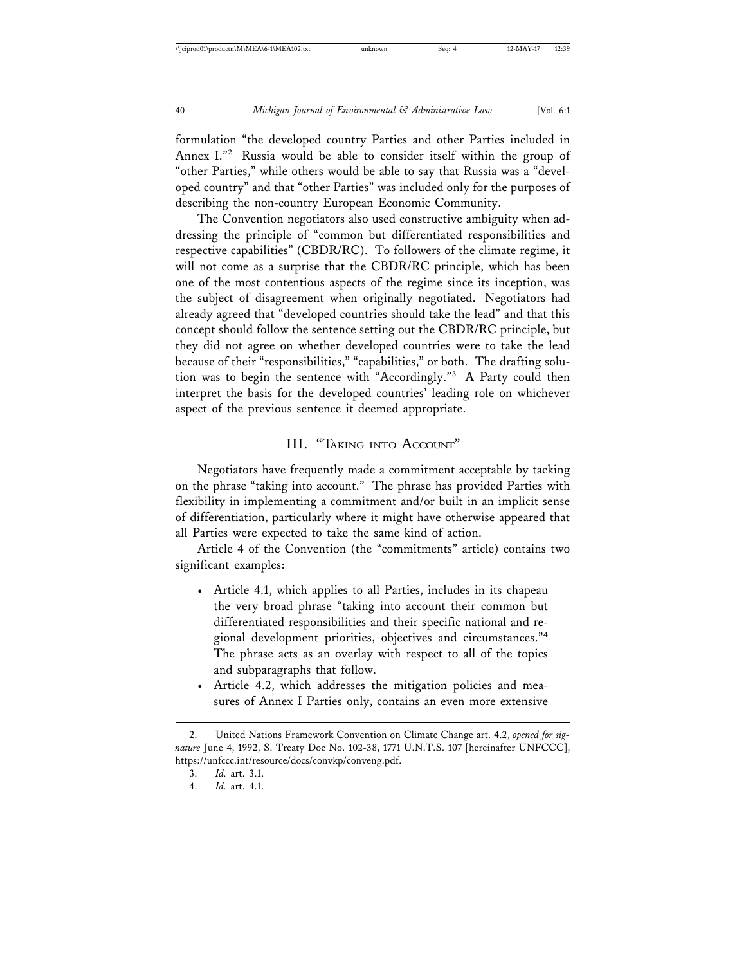formulation "the developed country Parties and other Parties included in Annex I."2 Russia would be able to consider itself within the group of "other Parties," while others would be able to say that Russia was a "developed country" and that "other Parties" was included only for the purposes of describing the non-country European Economic Community.

The Convention negotiators also used constructive ambiguity when addressing the principle of "common but differentiated responsibilities and respective capabilities" (CBDR/RC). To followers of the climate regime, it will not come as a surprise that the CBDR/RC principle, which has been one of the most contentious aspects of the regime since its inception, was the subject of disagreement when originally negotiated. Negotiators had already agreed that "developed countries should take the lead" and that this concept should follow the sentence setting out the CBDR/RC principle, but they did not agree on whether developed countries were to take the lead because of their "responsibilities," "capabilities," or both. The drafting solution was to begin the sentence with "Accordingly."3 A Party could then interpret the basis for the developed countries' leading role on whichever aspect of the previous sentence it deemed appropriate.

#### III. "TAKING INTO ACCOUNT"

Negotiators have frequently made a commitment acceptable by tacking on the phrase "taking into account." The phrase has provided Parties with flexibility in implementing a commitment and/or built in an implicit sense of differentiation, particularly where it might have otherwise appeared that all Parties were expected to take the same kind of action.

Article 4 of the Convention (the "commitments" article) contains two significant examples:

- Article 4.1, which applies to all Parties, includes in its chapeau the very broad phrase "taking into account their common but differentiated responsibilities and their specific national and regional development priorities, objectives and circumstances."<sup>4</sup> The phrase acts as an overlay with respect to all of the topics and subparagraphs that follow.
- Article 4.2, which addresses the mitigation policies and measures of Annex I Parties only, contains an even more extensive

<sup>2.</sup> United Nations Framework Convention on Climate Change art. 4.2, *opened for signature* June 4, 1992, S. Treaty Doc No. 102-38, 1771 U.N.T.S. 107 [hereinafter UNFCCC], https://unfccc.int/resource/docs/convkp/conveng.pdf.

<sup>3.</sup> *Id.* art. 3.1.

<sup>4.</sup> *Id.* art. 4.1.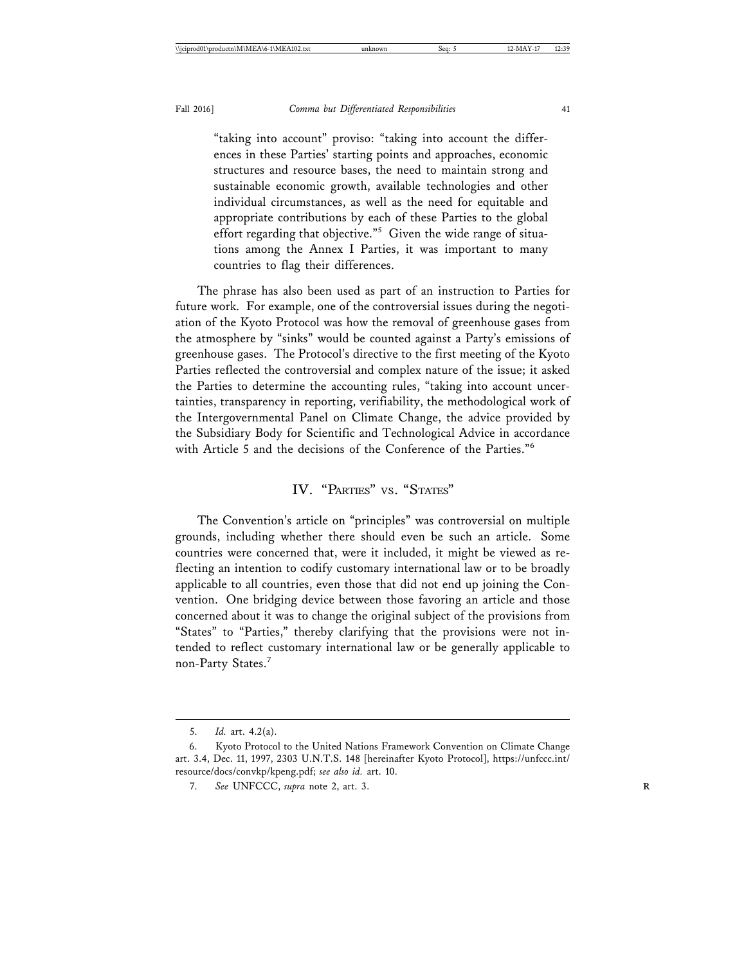"taking into account" proviso: "taking into account the differences in these Parties' starting points and approaches, economic structures and resource bases, the need to maintain strong and sustainable economic growth, available technologies and other individual circumstances, as well as the need for equitable and appropriate contributions by each of these Parties to the global effort regarding that objective."<sup>5</sup> Given the wide range of situations among the Annex I Parties, it was important to many countries to flag their differences.

The phrase has also been used as part of an instruction to Parties for future work. For example, one of the controversial issues during the negotiation of the Kyoto Protocol was how the removal of greenhouse gases from the atmosphere by "sinks" would be counted against a Party's emissions of greenhouse gases. The Protocol's directive to the first meeting of the Kyoto Parties reflected the controversial and complex nature of the issue; it asked the Parties to determine the accounting rules, "taking into account uncertainties, transparency in reporting, verifiability, the methodological work of the Intergovernmental Panel on Climate Change, the advice provided by the Subsidiary Body for Scientific and Technological Advice in accordance with Article 5 and the decisions of the Conference of the Parties."<sup>6</sup>

## IV. "PARTIES" VS. "STATES"

The Convention's article on "principles" was controversial on multiple grounds, including whether there should even be such an article. Some countries were concerned that, were it included, it might be viewed as reflecting an intention to codify customary international law or to be broadly applicable to all countries, even those that did not end up joining the Convention. One bridging device between those favoring an article and those concerned about it was to change the original subject of the provisions from "States" to "Parties," thereby clarifying that the provisions were not intended to reflect customary international law or be generally applicable to non-Party States.<sup>7</sup>

<sup>5.</sup> *Id.* art. 4.2(a).

<sup>6.</sup> Kyoto Protocol to the United Nations Framework Convention on Climate Change art. 3.4, Dec. 11, 1997, 2303 U.N.T.S. 148 [hereinafter Kyoto Protocol], https://unfccc.int/ resource/docs/convkp/kpeng.pdf; *see also id.* art. 10.

<sup>7.</sup> *See* UNFCCC, *supra* note 2, art. 3. **R**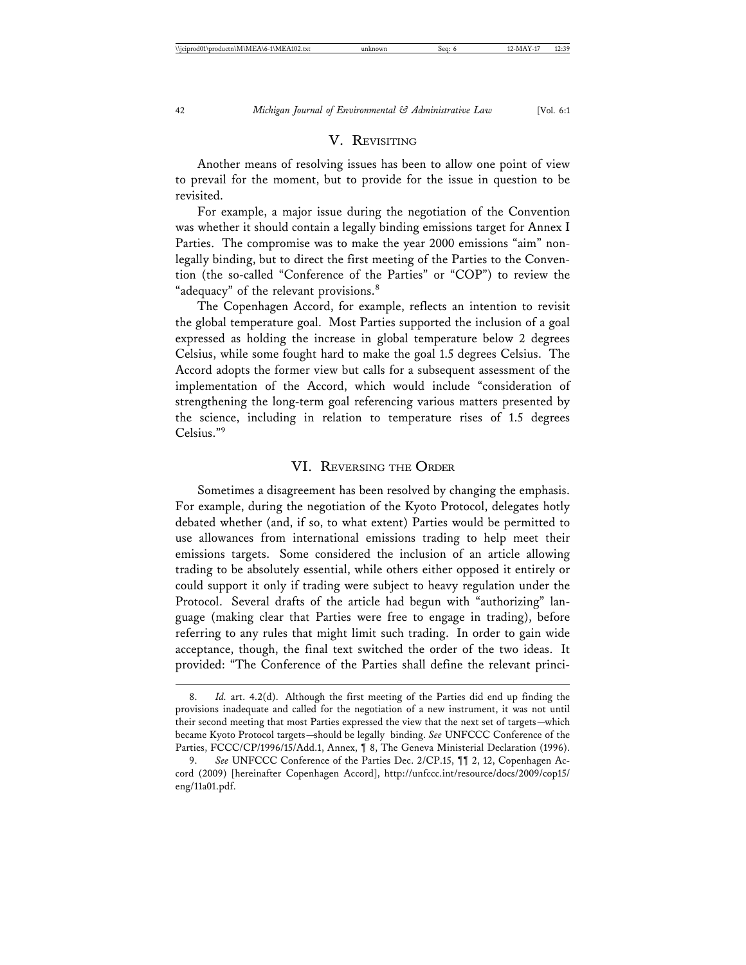## V. REVISITING

Another means of resolving issues has been to allow one point of view to prevail for the moment, but to provide for the issue in question to be revisited.

For example, a major issue during the negotiation of the Convention was whether it should contain a legally binding emissions target for Annex I Parties. The compromise was to make the year 2000 emissions "aim" nonlegally binding, but to direct the first meeting of the Parties to the Convention (the so-called "Conference of the Parties" or "COP") to review the "adequacy" of the relevant provisions.<sup>8</sup>

The Copenhagen Accord, for example, reflects an intention to revisit the global temperature goal. Most Parties supported the inclusion of a goal expressed as holding the increase in global temperature below 2 degrees Celsius, while some fought hard to make the goal 1.5 degrees Celsius. The Accord adopts the former view but calls for a subsequent assessment of the implementation of the Accord, which would include "consideration of strengthening the long-term goal referencing various matters presented by the science, including in relation to temperature rises of 1.5 degrees Celsius."9

#### VI. REVERSING THE ORDER

Sometimes a disagreement has been resolved by changing the emphasis. For example, during the negotiation of the Kyoto Protocol, delegates hotly debated whether (and, if so, to what extent) Parties would be permitted to use allowances from international emissions trading to help meet their emissions targets. Some considered the inclusion of an article allowing trading to be absolutely essential, while others either opposed it entirely or could support it only if trading were subject to heavy regulation under the Protocol. Several drafts of the article had begun with "authorizing" language (making clear that Parties were free to engage in trading), before referring to any rules that might limit such trading. In order to gain wide acceptance, though, the final text switched the order of the two ideas. It provided: "The Conference of the Parties shall define the relevant princi-

Id. art. 4.2(d). Although the first meeting of the Parties did end up finding the provisions inadequate and called for the negotiation of a new instrument, it was not until their second meeting that most Parties expressed the view that the next set of targets—which became Kyoto Protocol targets—should be legally binding. *See* UNFCCC Conference of the Parties, FCCC/CP/1996/15/Add.1, Annex, ¶ 8, The Geneva Ministerial Declaration (1996).

<sup>9.</sup> *See* UNFCCC Conference of the Parties Dec. 2/CP.15, ¶¶ 2, 12, Copenhagen Accord (2009) [hereinafter Copenhagen Accord], http://unfccc.int/resource/docs/2009/cop15/ eng/11a01.pdf.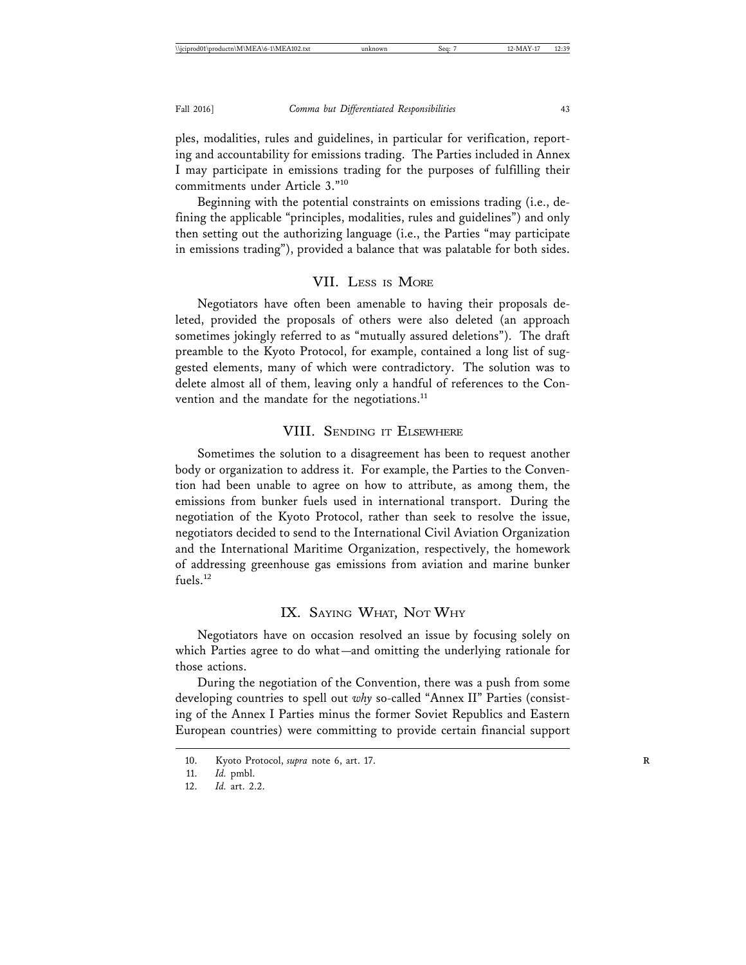ples, modalities, rules and guidelines, in particular for verification, reporting and accountability for emissions trading. The Parties included in Annex I may participate in emissions trading for the purposes of fulfilling their commitments under Article 3."<sup>10</sup>

Beginning with the potential constraints on emissions trading (i.e., defining the applicable "principles, modalities, rules and guidelines") and only then setting out the authorizing language (i.e., the Parties "may participate in emissions trading"), provided a balance that was palatable for both sides.

#### VII. LESS IS MORE

Negotiators have often been amenable to having their proposals deleted, provided the proposals of others were also deleted (an approach sometimes jokingly referred to as "mutually assured deletions"). The draft preamble to the Kyoto Protocol, for example, contained a long list of suggested elements, many of which were contradictory. The solution was to delete almost all of them, leaving only a handful of references to the Convention and the mandate for the negotiations.<sup>11</sup>

#### VIII. SENDING IT ELSEWHERE

Sometimes the solution to a disagreement has been to request another body or organization to address it. For example, the Parties to the Convention had been unable to agree on how to attribute, as among them, the emissions from bunker fuels used in international transport. During the negotiation of the Kyoto Protocol, rather than seek to resolve the issue, negotiators decided to send to the International Civil Aviation Organization and the International Maritime Organization, respectively, the homework of addressing greenhouse gas emissions from aviation and marine bunker fuels.<sup>12</sup>

## IX. SAYING WHAT, NOT WHY

Negotiators have on occasion resolved an issue by focusing solely on which Parties agree to do what—and omitting the underlying rationale for those actions.

During the negotiation of the Convention, there was a push from some developing countries to spell out *why* so-called "Annex II" Parties (consisting of the Annex I Parties minus the former Soviet Republics and Eastern European countries) were committing to provide certain financial support

<sup>10.</sup> Kyoto Protocol, *supra* note 6, art. 17.

<sup>11.</sup> *Id.* pmbl.

<sup>12.</sup> *Id.* art. 2.2.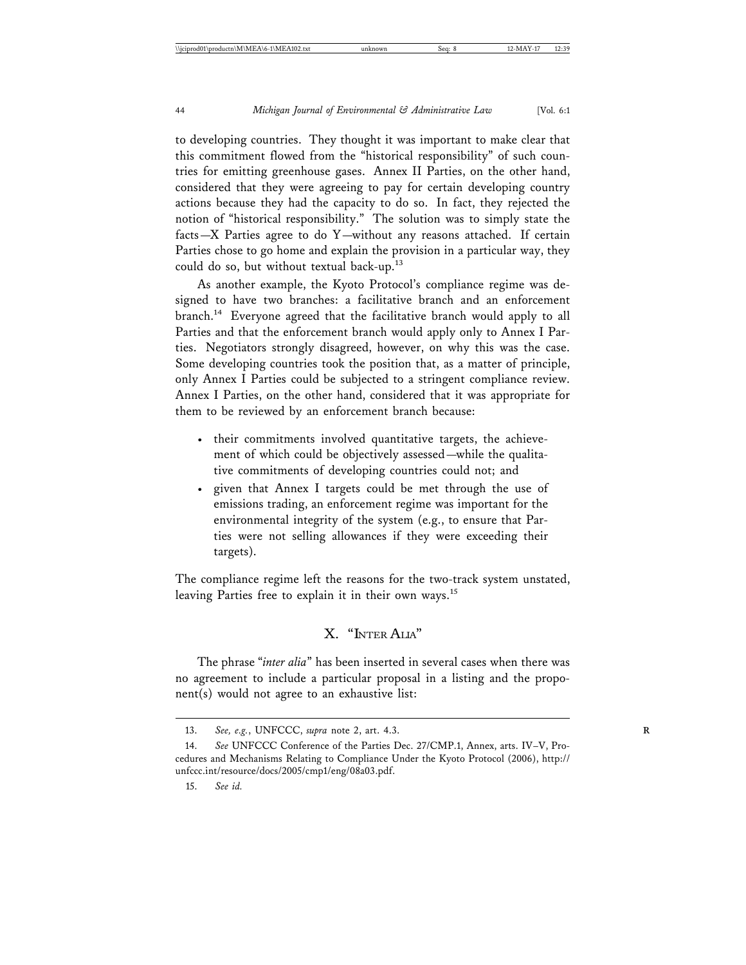to developing countries. They thought it was important to make clear that this commitment flowed from the "historical responsibility" of such countries for emitting greenhouse gases. Annex II Parties, on the other hand, considered that they were agreeing to pay for certain developing country actions because they had the capacity to do so. In fact, they rejected the notion of "historical responsibility." The solution was to simply state the facts—X Parties agree to do Y—without any reasons attached. If certain Parties chose to go home and explain the provision in a particular way, they could do so, but without textual back-up.<sup>13</sup>

As another example, the Kyoto Protocol's compliance regime was designed to have two branches: a facilitative branch and an enforcement branch.14 Everyone agreed that the facilitative branch would apply to all Parties and that the enforcement branch would apply only to Annex I Parties. Negotiators strongly disagreed, however, on why this was the case. Some developing countries took the position that, as a matter of principle, only Annex I Parties could be subjected to a stringent compliance review. Annex I Parties, on the other hand, considered that it was appropriate for them to be reviewed by an enforcement branch because:

- their commitments involved quantitative targets, the achievement of which could be objectively assessed—while the qualitative commitments of developing countries could not; and
- given that Annex I targets could be met through the use of emissions trading, an enforcement regime was important for the environmental integrity of the system (e.g., to ensure that Parties were not selling allowances if they were exceeding their targets).

The compliance regime left the reasons for the two-track system unstated, leaving Parties free to explain it in their own ways.<sup>15</sup>

## X. "INTER ALIA"

The phrase "*inter alia*" has been inserted in several cases when there was no agreement to include a particular proposal in a listing and the proponent(s) would not agree to an exhaustive list:

<sup>13.</sup> *See, e.g.*, UNFCCC, *supra* note 2, art. 4.3. **R**

<sup>14.</sup> *See* UNFCCC Conference of the Parties Dec. 27/CMP.1, Annex, arts. IV–V, Procedures and Mechanisms Relating to Compliance Under the Kyoto Protocol (2006), http:// unfccc.int/resource/docs/2005/cmp1/eng/08a03.pdf.

<sup>15.</sup> *See id.*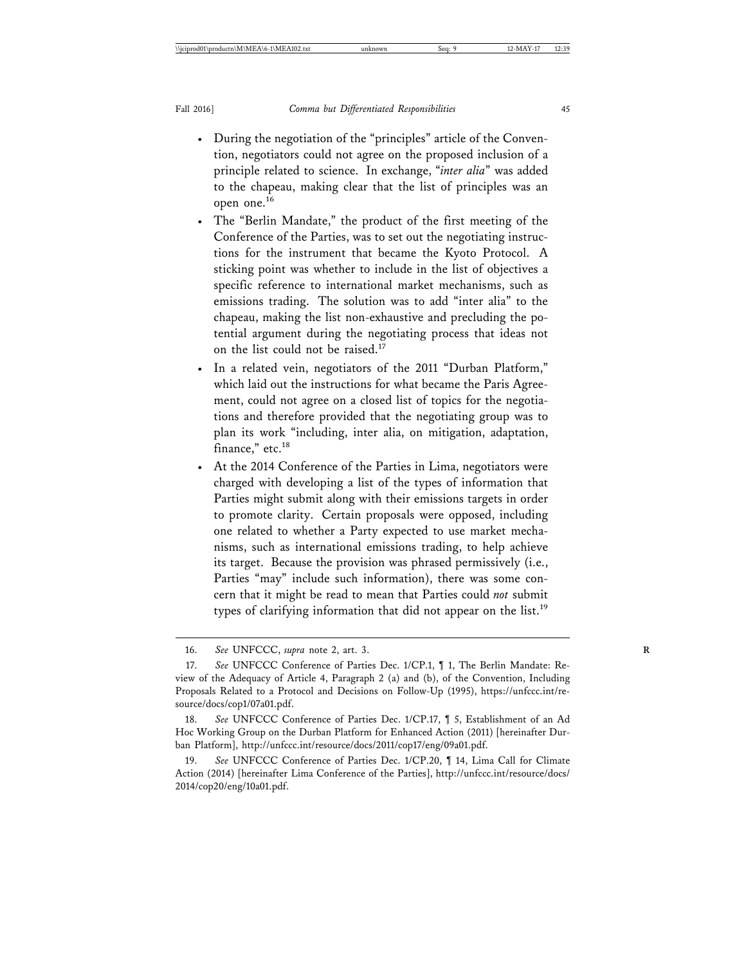- During the negotiation of the "principles" article of the Convention, negotiators could not agree on the proposed inclusion of a principle related to science. In exchange, "*inter alia*" was added to the chapeau, making clear that the list of principles was an open one.<sup>16</sup>
- The "Berlin Mandate," the product of the first meeting of the Conference of the Parties, was to set out the negotiating instructions for the instrument that became the Kyoto Protocol. A sticking point was whether to include in the list of objectives a specific reference to international market mechanisms, such as emissions trading. The solution was to add "inter alia" to the chapeau, making the list non-exhaustive and precluding the potential argument during the negotiating process that ideas not on the list could not be raised.<sup>17</sup>
- In a related vein, negotiators of the 2011 "Durban Platform," which laid out the instructions for what became the Paris Agreement, could not agree on a closed list of topics for the negotiations and therefore provided that the negotiating group was to plan its work "including, inter alia, on mitigation, adaptation, finance," etc.<sup>18</sup>
- At the 2014 Conference of the Parties in Lima, negotiators were charged with developing a list of the types of information that Parties might submit along with their emissions targets in order to promote clarity. Certain proposals were opposed, including one related to whether a Party expected to use market mechanisms, such as international emissions trading, to help achieve its target. Because the provision was phrased permissively (i.e., Parties "may" include such information), there was some concern that it might be read to mean that Parties could *not* submit types of clarifying information that did not appear on the list.<sup>19</sup>

<sup>16.</sup> *See* UNFCCC, *supra* note 2, art. 3. **R**

<sup>17.</sup> *See* UNFCCC Conference of Parties Dec. 1/CP.1, ¶ 1, The Berlin Mandate: Review of the Adequacy of Article 4, Paragraph 2 (a) and (b), of the Convention, Including Proposals Related to a Protocol and Decisions on Follow-Up (1995), https://unfccc.int/resource/docs/cop1/07a01.pdf.

<sup>18.</sup> *See* UNFCCC Conference of Parties Dec. 1/CP.17, ¶ 5, Establishment of an Ad Hoc Working Group on the Durban Platform for Enhanced Action (2011) [hereinafter Durban Platform], http://unfccc.int/resource/docs/2011/cop17/eng/09a01.pdf.

<sup>19.</sup> *See* UNFCCC Conference of Parties Dec. 1/CP.20, ¶ 14, Lima Call for Climate Action (2014) [hereinafter Lima Conference of the Parties], http://unfccc.int/resource/docs/ 2014/cop20/eng/10a01.pdf.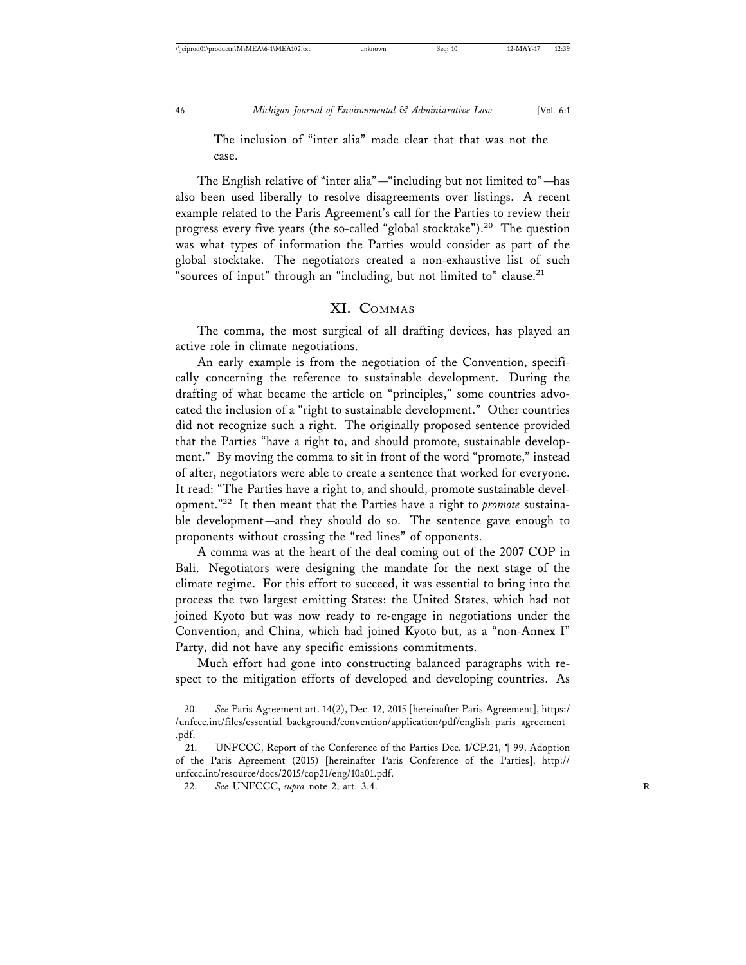The inclusion of "inter alia" made clear that that was not the case.

The English relative of "inter alia"—"including but not limited to"—has also been used liberally to resolve disagreements over listings. A recent example related to the Paris Agreement's call for the Parties to review their progress every five years (the so-called "global stocktake").<sup>20</sup> The question was what types of information the Parties would consider as part of the global stocktake. The negotiators created a non-exhaustive list of such "sources of input" through an "including, but not limited to" clause.<sup>21</sup>

#### XI. COMMAS

The comma, the most surgical of all drafting devices, has played an active role in climate negotiations.

An early example is from the negotiation of the Convention, specifically concerning the reference to sustainable development. During the drafting of what became the article on "principles," some countries advocated the inclusion of a "right to sustainable development." Other countries did not recognize such a right. The originally proposed sentence provided that the Parties "have a right to, and should promote, sustainable development." By moving the comma to sit in front of the word "promote," instead of after, negotiators were able to create a sentence that worked for everyone. It read: "The Parties have a right to, and should, promote sustainable development."22 It then meant that the Parties have a right to *promote* sustainable development—and they should do so. The sentence gave enough to proponents without crossing the "red lines" of opponents.

A comma was at the heart of the deal coming out of the 2007 COP in Bali. Negotiators were designing the mandate for the next stage of the climate regime. For this effort to succeed, it was essential to bring into the process the two largest emitting States: the United States, which had not joined Kyoto but was now ready to re-engage in negotiations under the Convention, and China, which had joined Kyoto but, as a "non-Annex I" Party, did not have any specific emissions commitments.

Much effort had gone into constructing balanced paragraphs with respect to the mitigation efforts of developed and developing countries. As

<sup>20.</sup> *See* Paris Agreement art. 14(2), Dec. 12, 2015 [hereinafter Paris Agreement], https:/ /unfccc.int/files/essential\_background/convention/application/pdf/english\_paris\_agreement .pdf.

<sup>21.</sup> UNFCCC, Report of the Conference of the Parties Dec. 1/CP.21, ¶ 99, Adoption of the Paris Agreement (2015) [hereinafter Paris Conference of the Parties], http:// unfccc.int/resource/docs/2015/cop21/eng/10a01.pdf.

<sup>22.</sup> *See* UNFCCC, *supra* note 2, art. 3.4. **R**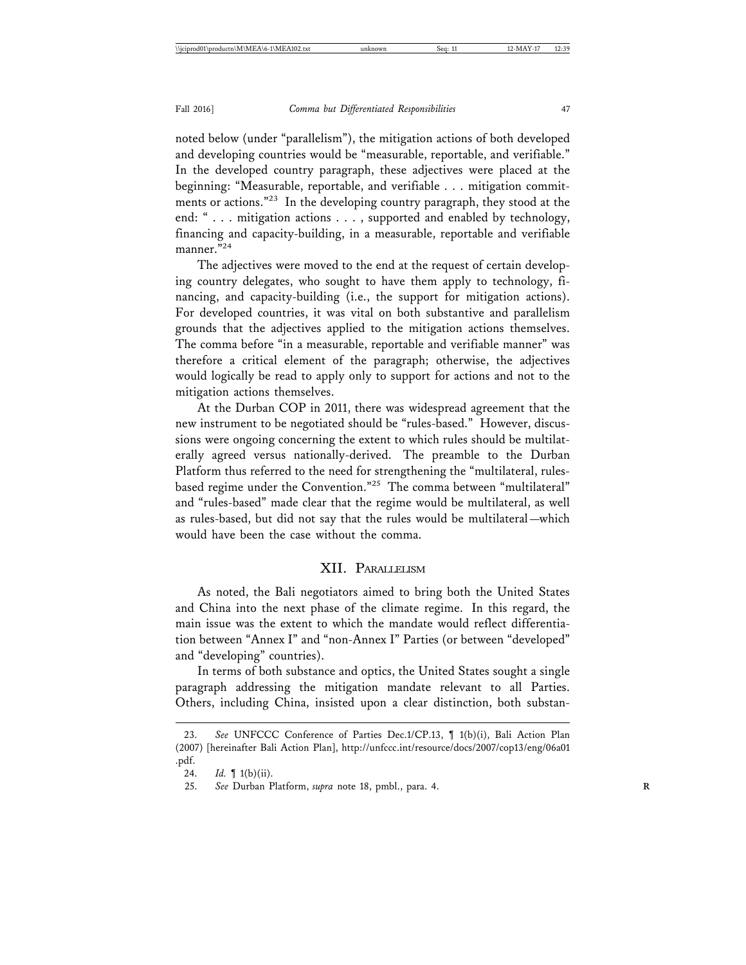noted below (under "parallelism"), the mitigation actions of both developed and developing countries would be "measurable, reportable, and verifiable." In the developed country paragraph, these adjectives were placed at the beginning: "Measurable, reportable, and verifiable . . . mitigation commitments or actions."23 In the developing country paragraph, they stood at the end: " . . . mitigation actions . . . , supported and enabled by technology, financing and capacity-building, in a measurable, reportable and verifiable manner. "<sup>24</sup>

The adjectives were moved to the end at the request of certain developing country delegates, who sought to have them apply to technology, financing, and capacity-building (i.e., the support for mitigation actions). For developed countries, it was vital on both substantive and parallelism grounds that the adjectives applied to the mitigation actions themselves. The comma before "in a measurable, reportable and verifiable manner" was therefore a critical element of the paragraph; otherwise, the adjectives would logically be read to apply only to support for actions and not to the mitigation actions themselves.

At the Durban COP in 2011, there was widespread agreement that the new instrument to be negotiated should be "rules-based." However, discussions were ongoing concerning the extent to which rules should be multilaterally agreed versus nationally-derived. The preamble to the Durban Platform thus referred to the need for strengthening the "multilateral, rulesbased regime under the Convention."25 The comma between "multilateral" and "rules-based" made clear that the regime would be multilateral, as well as rules-based, but did not say that the rules would be multilateral—which would have been the case without the comma.

#### XII. PARALLELISM

As noted, the Bali negotiators aimed to bring both the United States and China into the next phase of the climate regime. In this regard, the main issue was the extent to which the mandate would reflect differentiation between "Annex I" and "non-Annex I" Parties (or between "developed" and "developing" countries).

In terms of both substance and optics, the United States sought a single paragraph addressing the mitigation mandate relevant to all Parties. Others, including China, insisted upon a clear distinction, both substan-

<sup>23.</sup> *See* UNFCCC Conference of Parties Dec.1/CP.13, ¶ 1(b)(i), Bali Action Plan (2007) [hereinafter Bali Action Plan], http://unfccc.int/resource/docs/2007/cop13/eng/06a01 .pdf.

<sup>24.</sup> *Id.* ¶ 1(b)(ii).

<sup>25.</sup> *See* Durban Platform, *supra* note 18, pmbl., para. 4. **R**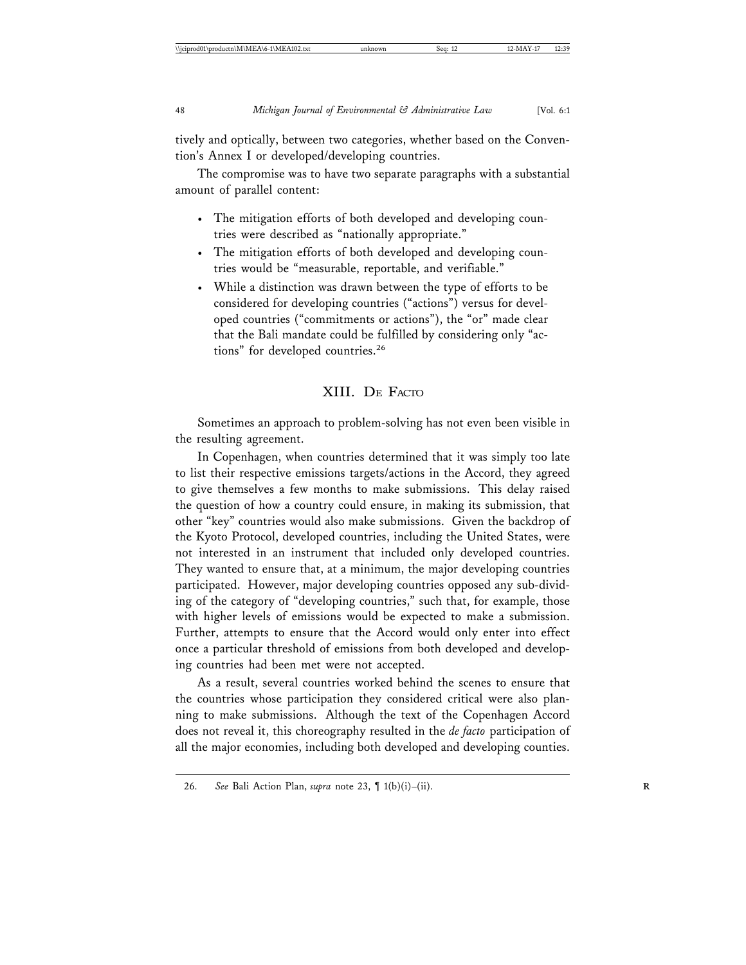tively and optically, between two categories, whether based on the Convention's Annex I or developed/developing countries.

The compromise was to have two separate paragraphs with a substantial amount of parallel content:

- The mitigation efforts of both developed and developing countries were described as "nationally appropriate."
- The mitigation efforts of both developed and developing countries would be "measurable, reportable, and verifiable."
- While a distinction was drawn between the type of efforts to be considered for developing countries ("actions") versus for developed countries ("commitments or actions"), the "or" made clear that the Bali mandate could be fulfilled by considering only "actions" for developed countries.<sup>26</sup>

## XIII. DE FACTO

Sometimes an approach to problem-solving has not even been visible in the resulting agreement.

In Copenhagen, when countries determined that it was simply too late to list their respective emissions targets/actions in the Accord, they agreed to give themselves a few months to make submissions. This delay raised the question of how a country could ensure, in making its submission, that other "key" countries would also make submissions. Given the backdrop of the Kyoto Protocol, developed countries, including the United States, were not interested in an instrument that included only developed countries. They wanted to ensure that, at a minimum, the major developing countries participated. However, major developing countries opposed any sub-dividing of the category of "developing countries," such that, for example, those with higher levels of emissions would be expected to make a submission. Further, attempts to ensure that the Accord would only enter into effect once a particular threshold of emissions from both developed and developing countries had been met were not accepted.

As a result, several countries worked behind the scenes to ensure that the countries whose participation they considered critical were also planning to make submissions. Although the text of the Copenhagen Accord does not reveal it, this choreography resulted in the *de facto* participation of all the major economies, including both developed and developing counties.

<sup>26.</sup> *See* Bali Action Plan, *supra* note 23, ¶ 1(b)(i)–(ii). **R**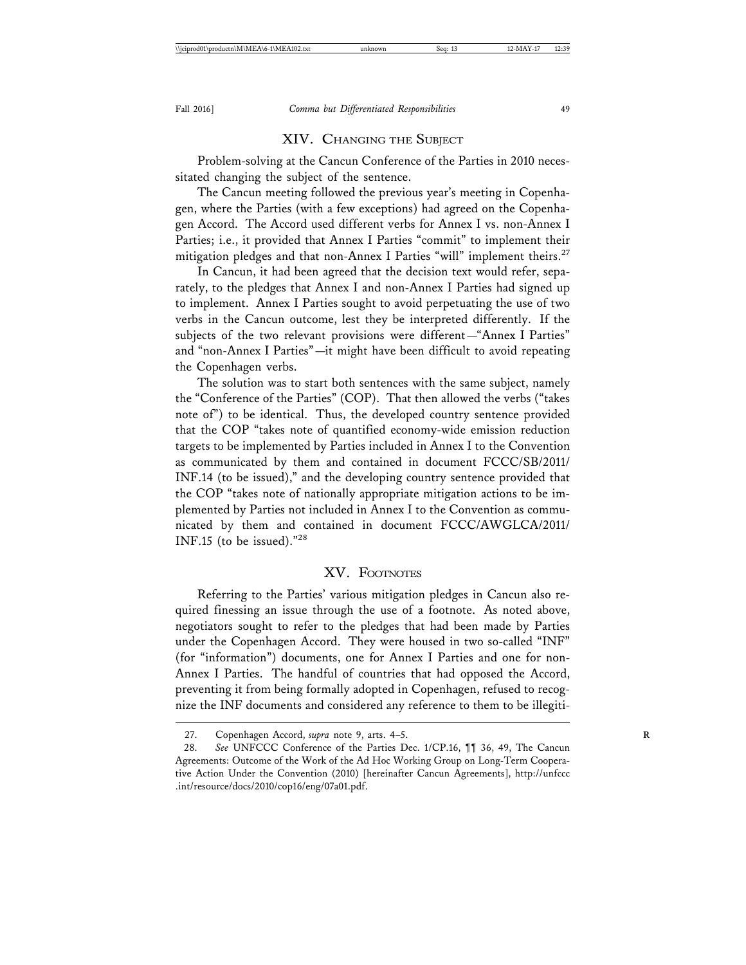#### XIV. CHANGING THE SUBJECT

Problem-solving at the Cancun Conference of the Parties in 2010 necessitated changing the subject of the sentence.

The Cancun meeting followed the previous year's meeting in Copenhagen, where the Parties (with a few exceptions) had agreed on the Copenhagen Accord. The Accord used different verbs for Annex I vs. non-Annex I Parties; i.e., it provided that Annex I Parties "commit" to implement their mitigation pledges and that non-Annex I Parties "will" implement theirs.<sup>27</sup>

In Cancun, it had been agreed that the decision text would refer, separately, to the pledges that Annex I and non-Annex I Parties had signed up to implement. Annex I Parties sought to avoid perpetuating the use of two verbs in the Cancun outcome, lest they be interpreted differently. If the subjects of the two relevant provisions were different—"Annex I Parties" and "non-Annex I Parties"—it might have been difficult to avoid repeating the Copenhagen verbs.

The solution was to start both sentences with the same subject, namely the "Conference of the Parties" (COP). That then allowed the verbs ("takes note of") to be identical. Thus, the developed country sentence provided that the COP "takes note of quantified economy-wide emission reduction targets to be implemented by Parties included in Annex I to the Convention as communicated by them and contained in document FCCC/SB/2011/ INF.14 (to be issued)," and the developing country sentence provided that the COP "takes note of nationally appropriate mitigation actions to be implemented by Parties not included in Annex I to the Convention as communicated by them and contained in document FCCC/AWGLCA/2011/ INF.15 (to be issued)."<sup>28</sup>

#### XV. FOOTNOTES

Referring to the Parties' various mitigation pledges in Cancun also required finessing an issue through the use of a footnote. As noted above, negotiators sought to refer to the pledges that had been made by Parties under the Copenhagen Accord. They were housed in two so-called "INF" (for "information") documents, one for Annex I Parties and one for non-Annex I Parties. The handful of countries that had opposed the Accord, preventing it from being formally adopted in Copenhagen, refused to recognize the INF documents and considered any reference to them to be illegiti-

<sup>27.</sup> Copenhagen Accord, *supra* note 9, arts. 4–5. **R**

<sup>28.</sup> *See* UNFCCC Conference of the Parties Dec. 1/CP.16, ¶¶ 36, 49, The Cancun Agreements: Outcome of the Work of the Ad Hoc Working Group on Long-Term Cooperative Action Under the Convention (2010) [hereinafter Cancun Agreements], http://unfccc .int/resource/docs/2010/cop16/eng/07a01.pdf.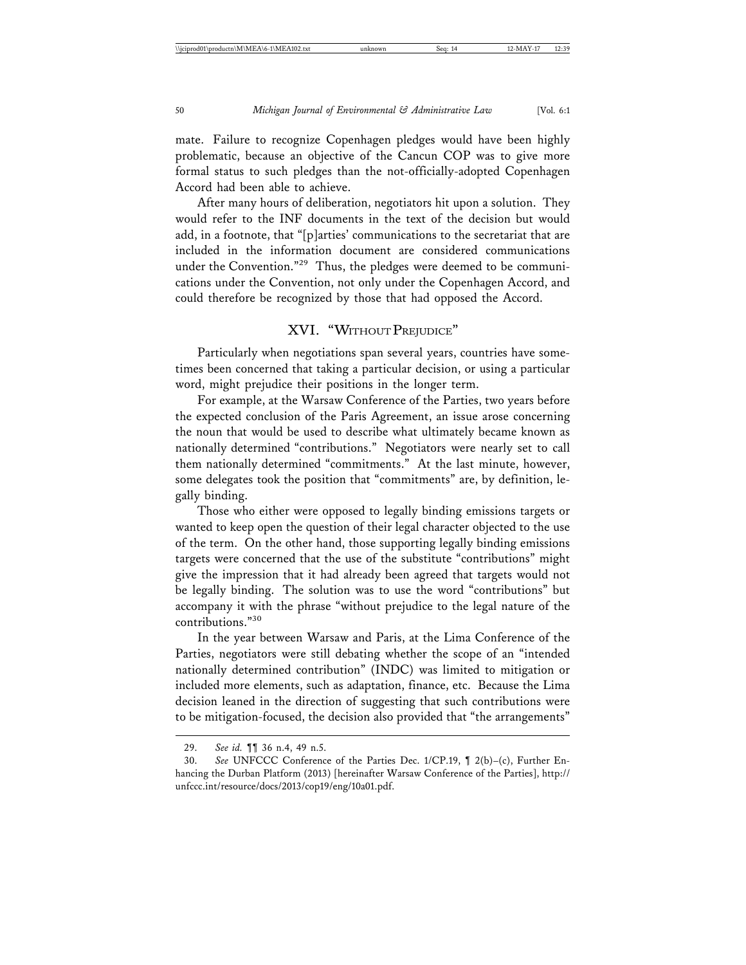mate. Failure to recognize Copenhagen pledges would have been highly problematic, because an objective of the Cancun COP was to give more formal status to such pledges than the not-officially-adopted Copenhagen Accord had been able to achieve.

After many hours of deliberation, negotiators hit upon a solution. They would refer to the INF documents in the text of the decision but would add, in a footnote, that "[p]arties' communications to the secretariat that are included in the information document are considered communications under the Convention."<sup>29</sup> Thus, the pledges were deemed to be communications under the Convention, not only under the Copenhagen Accord, and could therefore be recognized by those that had opposed the Accord.

## XVI. "WITHOUT PREJUDICE"

Particularly when negotiations span several years, countries have sometimes been concerned that taking a particular decision, or using a particular word, might prejudice their positions in the longer term.

For example, at the Warsaw Conference of the Parties, two years before the expected conclusion of the Paris Agreement, an issue arose concerning the noun that would be used to describe what ultimately became known as nationally determined "contributions." Negotiators were nearly set to call them nationally determined "commitments." At the last minute, however, some delegates took the position that "commitments" are, by definition, legally binding.

Those who either were opposed to legally binding emissions targets or wanted to keep open the question of their legal character objected to the use of the term. On the other hand, those supporting legally binding emissions targets were concerned that the use of the substitute "contributions" might give the impression that it had already been agreed that targets would not be legally binding. The solution was to use the word "contributions" but accompany it with the phrase "without prejudice to the legal nature of the contributions."30

In the year between Warsaw and Paris, at the Lima Conference of the Parties, negotiators were still debating whether the scope of an "intended nationally determined contribution" (INDC) was limited to mitigation or included more elements, such as adaptation, finance, etc. Because the Lima decision leaned in the direction of suggesting that such contributions were to be mitigation-focused, the decision also provided that "the arrangements"

<sup>29.</sup> *See id.* ¶¶ 36 n.4, 49 n.5.

<sup>30.</sup> *See* UNFCCC Conference of the Parties Dec. 1/CP.19, ¶ 2(b)–(c), Further Enhancing the Durban Platform (2013) [hereinafter Warsaw Conference of the Parties], http:// unfccc.int/resource/docs/2013/cop19/eng/10a01.pdf.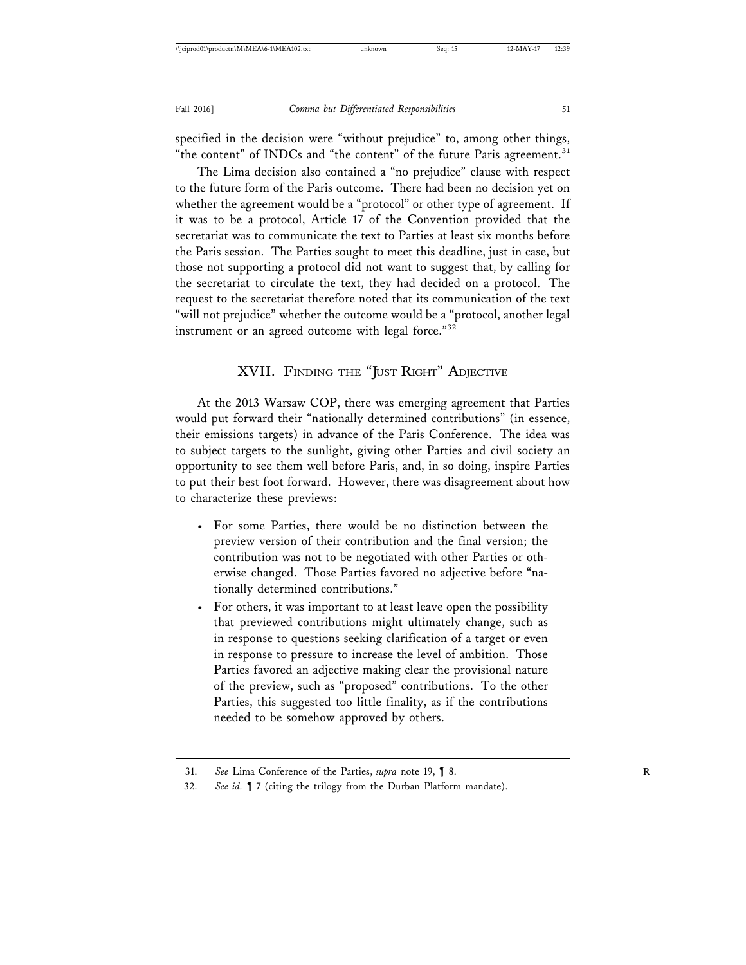specified in the decision were "without prejudice" to, among other things, "the content" of INDCs and "the content" of the future Paris agreement.<sup>31</sup>

The Lima decision also contained a "no prejudice" clause with respect to the future form of the Paris outcome. There had been no decision yet on whether the agreement would be a "protocol" or other type of agreement. If it was to be a protocol, Article 17 of the Convention provided that the secretariat was to communicate the text to Parties at least six months before the Paris session. The Parties sought to meet this deadline, just in case, but those not supporting a protocol did not want to suggest that, by calling for the secretariat to circulate the text, they had decided on a protocol. The request to the secretariat therefore noted that its communication of the text "will not prejudice" whether the outcome would be a "protocol, another legal instrument or an agreed outcome with legal force."<sup>32</sup>

### XVII. FINDING THE "JUST RIGHT" ADJECTIVE

At the 2013 Warsaw COP, there was emerging agreement that Parties would put forward their "nationally determined contributions" (in essence, their emissions targets) in advance of the Paris Conference. The idea was to subject targets to the sunlight, giving other Parties and civil society an opportunity to see them well before Paris, and, in so doing, inspire Parties to put their best foot forward. However, there was disagreement about how to characterize these previews:

- For some Parties, there would be no distinction between the preview version of their contribution and the final version; the contribution was not to be negotiated with other Parties or otherwise changed. Those Parties favored no adjective before "nationally determined contributions."
- For others, it was important to at least leave open the possibility that previewed contributions might ultimately change, such as in response to questions seeking clarification of a target or even in response to pressure to increase the level of ambition. Those Parties favored an adjective making clear the provisional nature of the preview, such as "proposed" contributions. To the other Parties, this suggested too little finality, as if the contributions needed to be somehow approved by others.

<sup>31.</sup> *See* Lima Conference of the Parties, *supra* note 19, ¶ 8. **R**

<sup>32.</sup> *See id.* ¶ 7 (citing the trilogy from the Durban Platform mandate).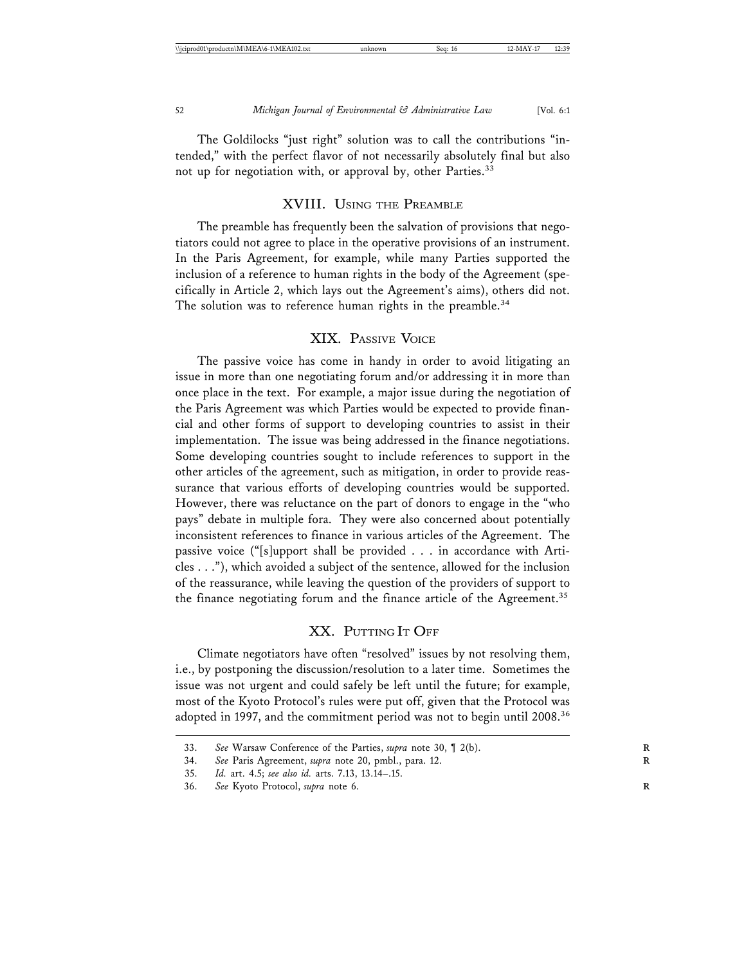The Goldilocks "just right" solution was to call the contributions "intended," with the perfect flavor of not necessarily absolutely final but also not up for negotiation with, or approval by, other Parties.<sup>33</sup>

#### XVIII. USING THE PREAMBLE

The preamble has frequently been the salvation of provisions that negotiators could not agree to place in the operative provisions of an instrument. In the Paris Agreement, for example, while many Parties supported the inclusion of a reference to human rights in the body of the Agreement (specifically in Article 2, which lays out the Agreement's aims), others did not. The solution was to reference human rights in the preamble.<sup>34</sup>

#### XIX. PASSIVE VOICE

The passive voice has come in handy in order to avoid litigating an issue in more than one negotiating forum and/or addressing it in more than once place in the text. For example, a major issue during the negotiation of the Paris Agreement was which Parties would be expected to provide financial and other forms of support to developing countries to assist in their implementation. The issue was being addressed in the finance negotiations. Some developing countries sought to include references to support in the other articles of the agreement, such as mitigation, in order to provide reassurance that various efforts of developing countries would be supported. However, there was reluctance on the part of donors to engage in the "who pays" debate in multiple fora. They were also concerned about potentially inconsistent references to finance in various articles of the Agreement. The passive voice ("[s]upport shall be provided . . . in accordance with Articles . . ."), which avoided a subject of the sentence, allowed for the inclusion of the reassurance, while leaving the question of the providers of support to the finance negotiating forum and the finance article of the Agreement.<sup>35</sup>

## XX. PUTTING IT OFF

Climate negotiators have often "resolved" issues by not resolving them, i.e., by postponing the discussion/resolution to a later time. Sometimes the issue was not urgent and could safely be left until the future; for example, most of the Kyoto Protocol's rules were put off, given that the Protocol was adopted in 1997, and the commitment period was not to begin until 2008.<sup>36</sup>

<sup>33.</sup> *See* Warsaw Conference of the Parties, *supra* note 30, ¶ 2(b). **R**

<sup>34.</sup> *See* Paris Agreement, *supra* note 20, pmbl., para. 12. **R**

<sup>35.</sup> *Id.* art. 4.5; *see also id.* arts. 7.13, 13.14–.15.

<sup>36.</sup> *See* Kyoto Protocol, *supra* note 6. **R**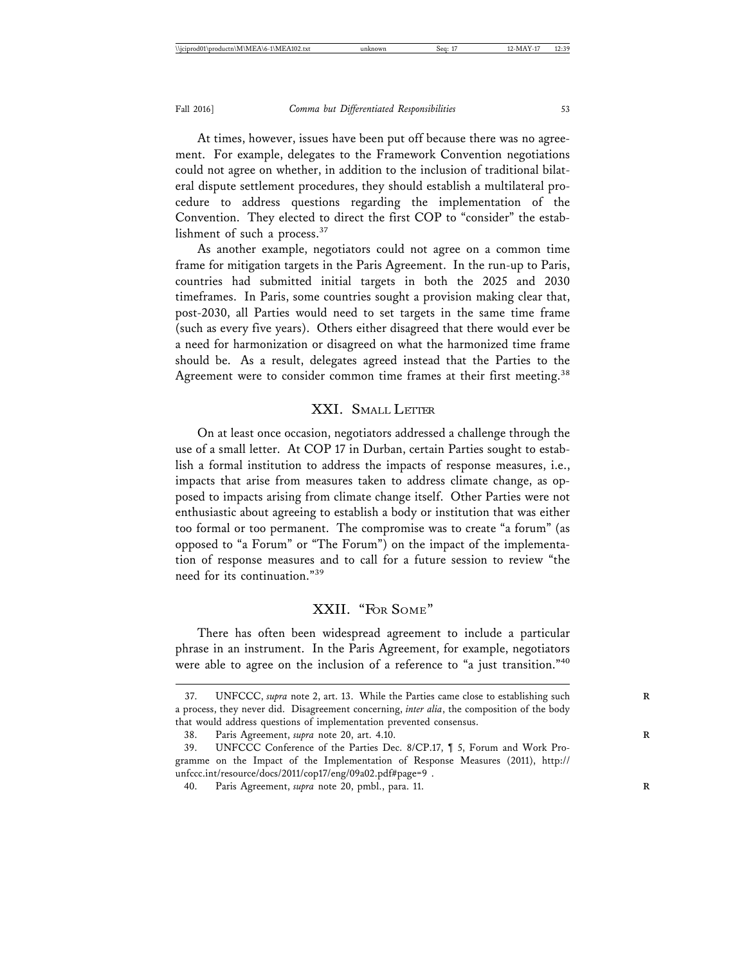At times, however, issues have been put off because there was no agreement. For example, delegates to the Framework Convention negotiations could not agree on whether, in addition to the inclusion of traditional bilateral dispute settlement procedures, they should establish a multilateral procedure to address questions regarding the implementation of the Convention. They elected to direct the first COP to "consider" the establishment of such a process.<sup>37</sup>

As another example, negotiators could not agree on a common time frame for mitigation targets in the Paris Agreement. In the run-up to Paris, countries had submitted initial targets in both the 2025 and 2030 timeframes. In Paris, some countries sought a provision making clear that, post-2030, all Parties would need to set targets in the same time frame (such as every five years). Others either disagreed that there would ever be a need for harmonization or disagreed on what the harmonized time frame should be. As a result, delegates agreed instead that the Parties to the Agreement were to consider common time frames at their first meeting.<sup>38</sup>

## XXI. SMALL LETTER

On at least once occasion, negotiators addressed a challenge through the use of a small letter. At COP 17 in Durban, certain Parties sought to establish a formal institution to address the impacts of response measures, i.e., impacts that arise from measures taken to address climate change, as opposed to impacts arising from climate change itself. Other Parties were not enthusiastic about agreeing to establish a body or institution that was either too formal or too permanent. The compromise was to create "a forum" (as opposed to "a Forum" or "The Forum") on the impact of the implementation of response measures and to call for a future session to review "the need for its continuation."<sup>39</sup>

#### XXII. "FOR SOME"

There has often been widespread agreement to include a particular phrase in an instrument. In the Paris Agreement, for example, negotiators were able to agree on the inclusion of a reference to "a just transition."<sup>40</sup>

<sup>37.</sup> UNFCCC, *supra* note 2, art. 13. While the Parties came close to establishing such **R** a process, they never did. Disagreement concerning, *inter alia*, the composition of the body that would address questions of implementation prevented consensus.

<sup>38.</sup> Paris Agreement, *supra* note 20, art. 4.10. **R**

<sup>39.</sup> UNFCCC Conference of the Parties Dec. 8/CP.17, ¶ 5, Forum and Work Programme on the Impact of the Implementation of Response Measures (2011), http:// unfccc.int/resource/docs/2011/cop17/eng/09a02.pdf#page=9 .

<sup>40.</sup> Paris Agreement, *supra* note 20, pmbl., para. 11. **R**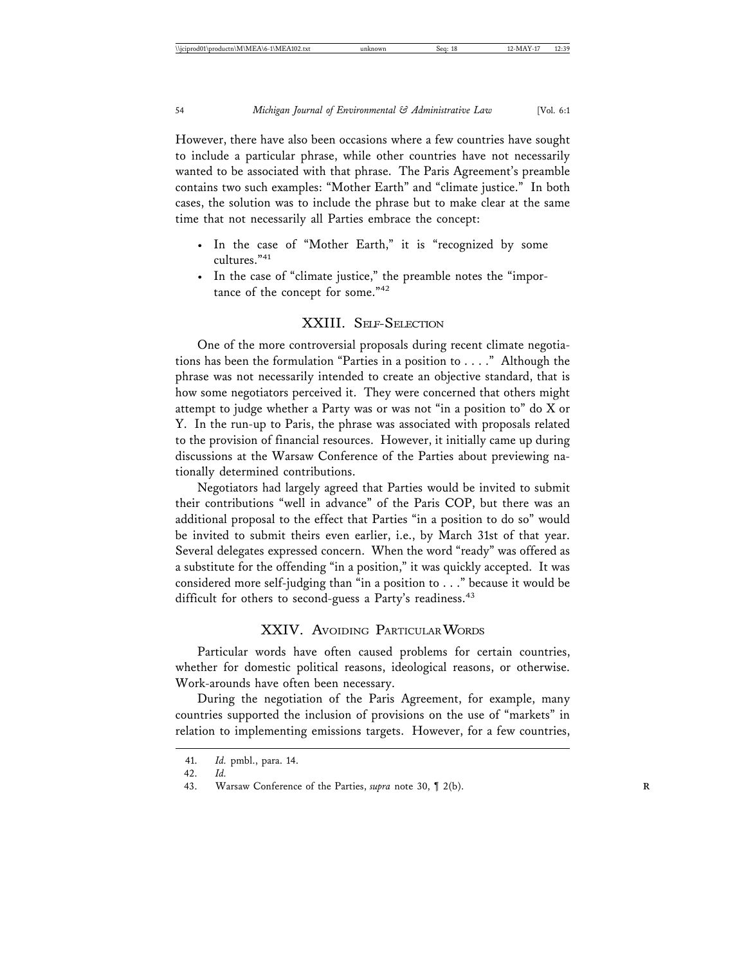However, there have also been occasions where a few countries have sought to include a particular phrase, while other countries have not necessarily wanted to be associated with that phrase. The Paris Agreement's preamble contains two such examples: "Mother Earth" and "climate justice." In both cases, the solution was to include the phrase but to make clear at the same time that not necessarily all Parties embrace the concept:

- In the case of "Mother Earth," it is "recognized by some cultures<sup>"41</sup>
- In the case of "climate justice," the preamble notes the "importance of the concept for some."<sup>42</sup>

## XXIII. SELF-SELECTION

One of the more controversial proposals during recent climate negotiations has been the formulation "Parties in a position to . . . ." Although the phrase was not necessarily intended to create an objective standard, that is how some negotiators perceived it. They were concerned that others might attempt to judge whether a Party was or was not "in a position to" do X or Y. In the run-up to Paris, the phrase was associated with proposals related to the provision of financial resources. However, it initially came up during discussions at the Warsaw Conference of the Parties about previewing nationally determined contributions.

Negotiators had largely agreed that Parties would be invited to submit their contributions "well in advance" of the Paris COP, but there was an additional proposal to the effect that Parties "in a position to do so" would be invited to submit theirs even earlier, i.e., by March 31st of that year. Several delegates expressed concern. When the word "ready" was offered as a substitute for the offending "in a position," it was quickly accepted. It was considered more self-judging than "in a position to . . ." because it would be difficult for others to second-guess a Party's readiness.<sup>43</sup>

#### XXIV. AVOIDING PARTICULAR WORDS

Particular words have often caused problems for certain countries, whether for domestic political reasons, ideological reasons, or otherwise. Work-arounds have often been necessary.

During the negotiation of the Paris Agreement, for example, many countries supported the inclusion of provisions on the use of "markets" in relation to implementing emissions targets. However, for a few countries,

<sup>41.</sup> *Id.* pmbl., para. 14.

<sup>42.</sup> *Id.*

<sup>43.</sup> Warsaw Conference of the Parties, *supra* note 30, ¶ 2(b). **R**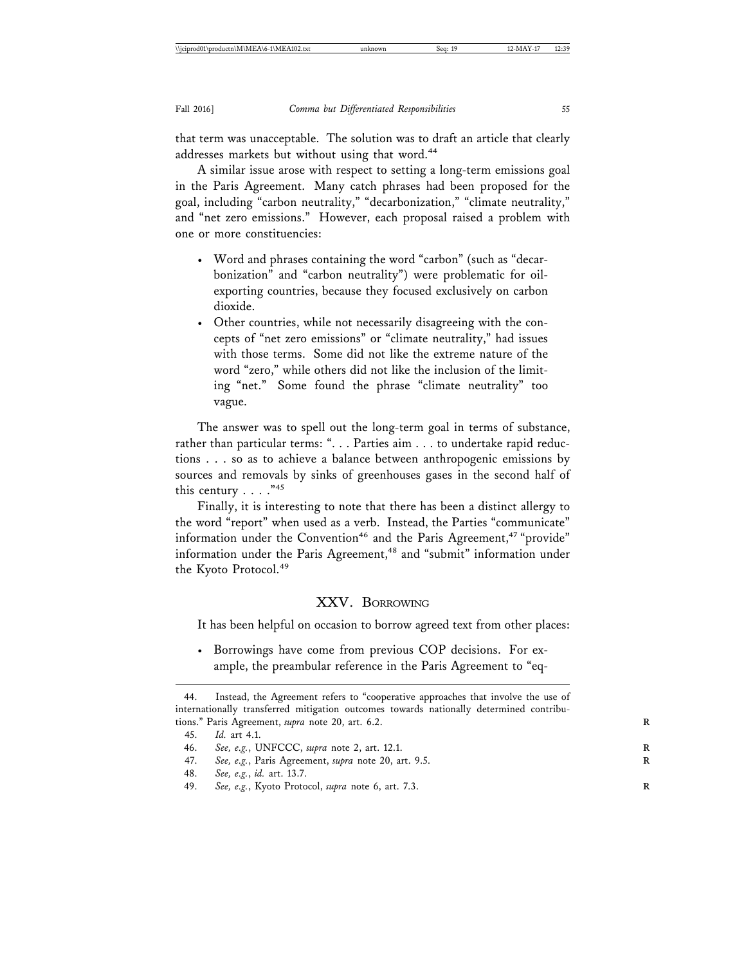that term was unacceptable. The solution was to draft an article that clearly addresses markets but without using that word.<sup>44</sup>

A similar issue arose with respect to setting a long-term emissions goal in the Paris Agreement. Many catch phrases had been proposed for the goal, including "carbon neutrality," "decarbonization," "climate neutrality," and "net zero emissions." However, each proposal raised a problem with one or more constituencies:

- Word and phrases containing the word "carbon" (such as "decarbonization" and "carbon neutrality") were problematic for oilexporting countries, because they focused exclusively on carbon dioxide.
- Other countries, while not necessarily disagreeing with the concepts of "net zero emissions" or "climate neutrality," had issues with those terms. Some did not like the extreme nature of the word "zero," while others did not like the inclusion of the limiting "net." Some found the phrase "climate neutrality" too vague.

The answer was to spell out the long-term goal in terms of substance, rather than particular terms: ". . . Parties aim . . . to undertake rapid reductions . . . so as to achieve a balance between anthropogenic emissions by sources and removals by sinks of greenhouses gases in the second half of this century  $\ldots$ ."<sup>45</sup>

Finally, it is interesting to note that there has been a distinct allergy to the word "report" when used as a verb. Instead, the Parties "communicate" information under the Convention<sup>46</sup> and the Paris Agreement,<sup>47</sup> "provide" information under the Paris Agreement,<sup>48</sup> and "submit" information under the Kyoto Protocol.<sup>49</sup>

#### XXV. BORROWING

It has been helpful on occasion to borrow agreed text from other places:

• Borrowings have come from previous COP decisions. For example, the preambular reference in the Paris Agreement to "eq-

<sup>44.</sup> Instead, the Agreement refers to "cooperative approaches that involve the use of internationally transferred mitigation outcomes towards nationally determined contributions." Paris Agreement, *supra* note 20, art. 6.2.

<sup>45.</sup> *Id.* art 4.1.

<sup>46.</sup> *See, e.g.*, UNFCCC, *supra* note 2, art. 12.1. **R**

<sup>47.</sup> *See, e.g.*, Paris Agreement, *supra* note 20, art. 9.5. **R**

<sup>48.</sup> *See, e.g.*, *id.* art. 13.7.

<sup>49.</sup> *See, e.g.*, Kyoto Protocol, *supra* note 6, art. 7.3. **R**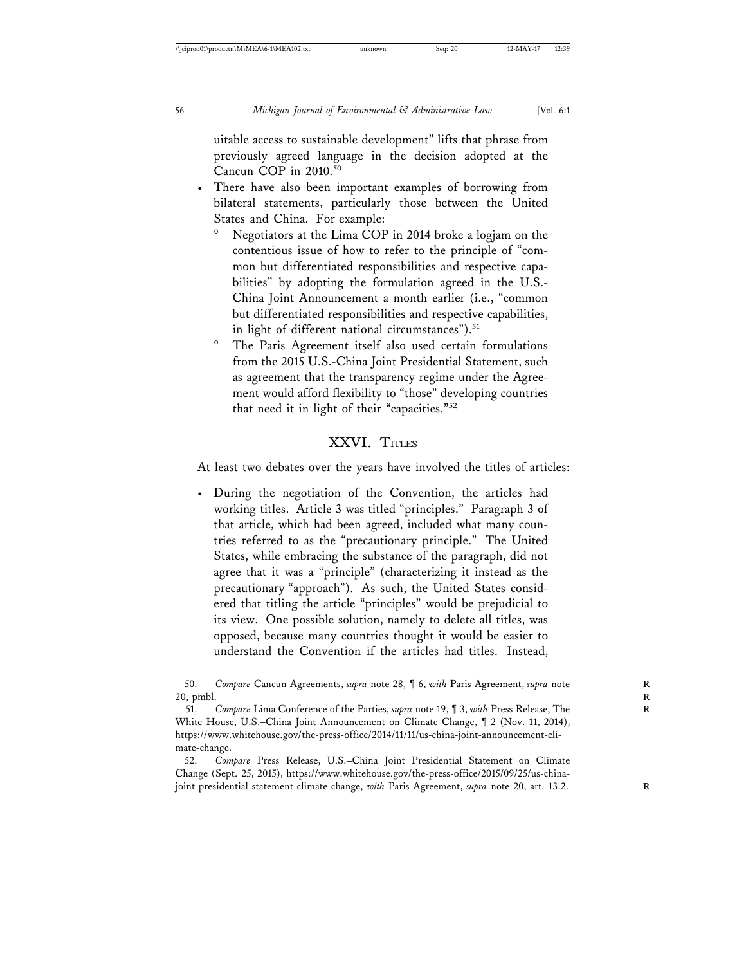uitable access to sustainable development" lifts that phrase from previously agreed language in the decision adopted at the Cancun COP in 2010.<sup>50</sup>

- There have also been important examples of borrowing from bilateral statements, particularly those between the United States and China. For example:
	- Negotiators at the Lima COP in 2014 broke a logjam on the contentious issue of how to refer to the principle of "common but differentiated responsibilities and respective capabilities" by adopting the formulation agreed in the U.S.- China Joint Announcement a month earlier (i.e., "common but differentiated responsibilities and respective capabilities, in light of different national circumstances").<sup>51</sup>
	- The Paris Agreement itself also used certain formulations from the 2015 U.S.-China Joint Presidential Statement, such as agreement that the transparency regime under the Agreement would afford flexibility to "those" developing countries that need it in light of their "capacities."52

#### XXVI. TITLES

At least two debates over the years have involved the titles of articles:

• During the negotiation of the Convention, the articles had working titles. Article 3 was titled "principles." Paragraph 3 of that article, which had been agreed, included what many countries referred to as the "precautionary principle." The United States, while embracing the substance of the paragraph, did not agree that it was a "principle" (characterizing it instead as the precautionary "approach"). As such, the United States considered that titling the article "principles" would be prejudicial to its view. One possible solution, namely to delete all titles, was opposed, because many countries thought it would be easier to understand the Convention if the articles had titles. Instead,

<sup>50.</sup> *Compare* Cancun Agreements, *supra* note 28, ¶ 6, *with* Paris Agreement, *supra* note **R** 20, pmbl. **R**

<sup>51.</sup> *Compare* Lima Conference of the Parties, *supra* note 19, ¶ 3, *with* Press Release, The **R** White House, U.S.–China Joint Announcement on Climate Change, ¶ 2 (Nov. 11, 2014), https://www.whitehouse.gov/the-press-office/2014/11/11/us-china-joint-announcement-climate-change.

<sup>52.</sup> *Compare* Press Release, U.S.–China Joint Presidential Statement on Climate Change (Sept. 25, 2015), https://www.whitehouse.gov/the-press-office/2015/09/25/us-chinajoint-presidential-statement-climate-change, *with* Paris Agreement, *supra* note 20, art. 13.2.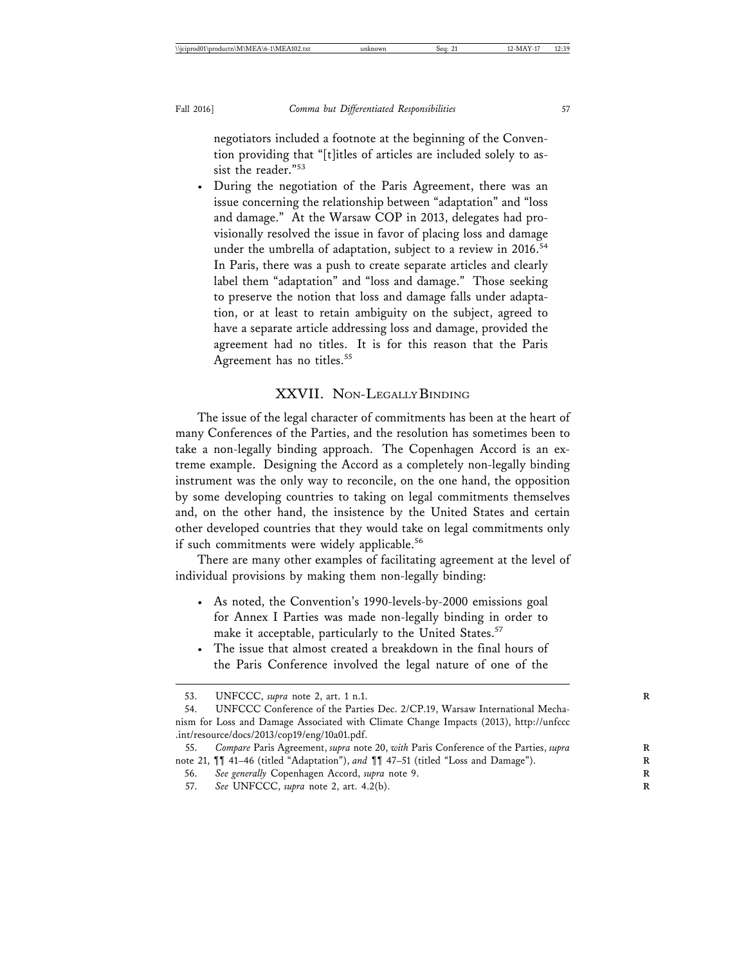negotiators included a footnote at the beginning of the Convention providing that "[t]itles of articles are included solely to assist the reader."<sup>53</sup>

• During the negotiation of the Paris Agreement, there was an issue concerning the relationship between "adaptation" and "loss and damage." At the Warsaw COP in 2013, delegates had provisionally resolved the issue in favor of placing loss and damage under the umbrella of adaptation, subject to a review in 2016.<sup>54</sup> In Paris, there was a push to create separate articles and clearly label them "adaptation" and "loss and damage." Those seeking to preserve the notion that loss and damage falls under adaptation, or at least to retain ambiguity on the subject, agreed to have a separate article addressing loss and damage, provided the agreement had no titles. It is for this reason that the Paris Agreement has no titles.<sup>55</sup>

## XXVII. NON-LEGALLY BINDING

The issue of the legal character of commitments has been at the heart of many Conferences of the Parties, and the resolution has sometimes been to take a non-legally binding approach. The Copenhagen Accord is an extreme example. Designing the Accord as a completely non-legally binding instrument was the only way to reconcile, on the one hand, the opposition by some developing countries to taking on legal commitments themselves and, on the other hand, the insistence by the United States and certain other developed countries that they would take on legal commitments only if such commitments were widely applicable.<sup>56</sup>

There are many other examples of facilitating agreement at the level of individual provisions by making them non-legally binding:

- As noted, the Convention's 1990-levels-by-2000 emissions goal for Annex I Parties was made non-legally binding in order to make it acceptable, particularly to the United States.<sup>57</sup>
- The issue that almost created a breakdown in the final hours of the Paris Conference involved the legal nature of one of the

<sup>53.</sup> UNFCCC, *supra* note 2, art. 1 n.1. **R**

<sup>54.</sup> UNFCCC Conference of the Parties Dec. 2/CP.19, Warsaw International Mechanism for Loss and Damage Associated with Climate Change Impacts (2013), http://unfccc .int/resource/docs/2013/cop19/eng/10a01.pdf.

<sup>55.</sup> *Compare* Paris Agreement, *supra* note 20, *with* Paris Conference of the Parties, *supra* **R** note 21,  $\P\P$  41-46 (titled "Adaptation"), and  $\P\P$  47-51 (titled "Loss and Damage").

<sup>56.</sup> *See generally* Copenhagen Accord, *supra* note 9. **R**

<sup>57.</sup> *See* UNFCCC, *supra* note 2, art. 4.2(b). **R**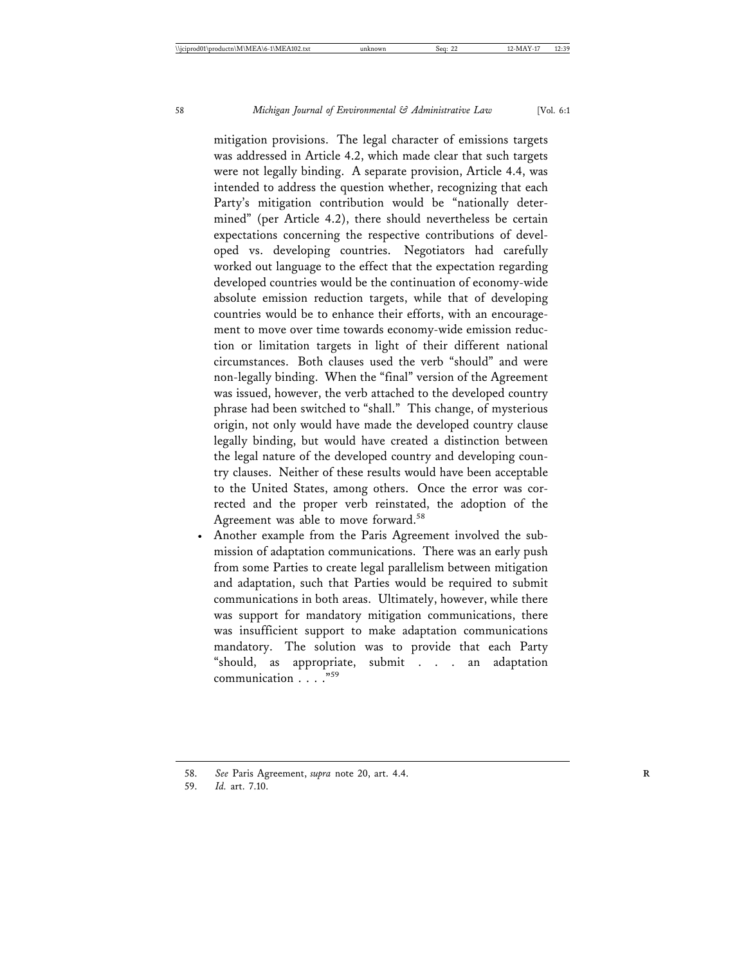mitigation provisions. The legal character of emissions targets was addressed in Article 4.2, which made clear that such targets were not legally binding. A separate provision, Article 4.4, was intended to address the question whether, recognizing that each Party's mitigation contribution would be "nationally determined" (per Article 4.2), there should nevertheless be certain expectations concerning the respective contributions of developed vs. developing countries. Negotiators had carefully worked out language to the effect that the expectation regarding developed countries would be the continuation of economy-wide absolute emission reduction targets, while that of developing countries would be to enhance their efforts, with an encouragement to move over time towards economy-wide emission reduction or limitation targets in light of their different national circumstances. Both clauses used the verb "should" and were non-legally binding. When the "final" version of the Agreement was issued, however, the verb attached to the developed country phrase had been switched to "shall." This change, of mysterious origin, not only would have made the developed country clause legally binding, but would have created a distinction between the legal nature of the developed country and developing country clauses. Neither of these results would have been acceptable to the United States, among others. Once the error was corrected and the proper verb reinstated, the adoption of the Agreement was able to move forward.<sup>58</sup>

• Another example from the Paris Agreement involved the submission of adaptation communications. There was an early push from some Parties to create legal parallelism between mitigation and adaptation, such that Parties would be required to submit communications in both areas. Ultimately, however, while there was support for mandatory mitigation communications, there was insufficient support to make adaptation communications mandatory. The solution was to provide that each Party "should, as appropriate, submit . . . an adaptation communication . . . ."<sup>59</sup>

<sup>58.</sup> *See* Paris Agreement, *supra* note 20, art. 4.4. **R**

<sup>59.</sup> *Id.* art. 7.10.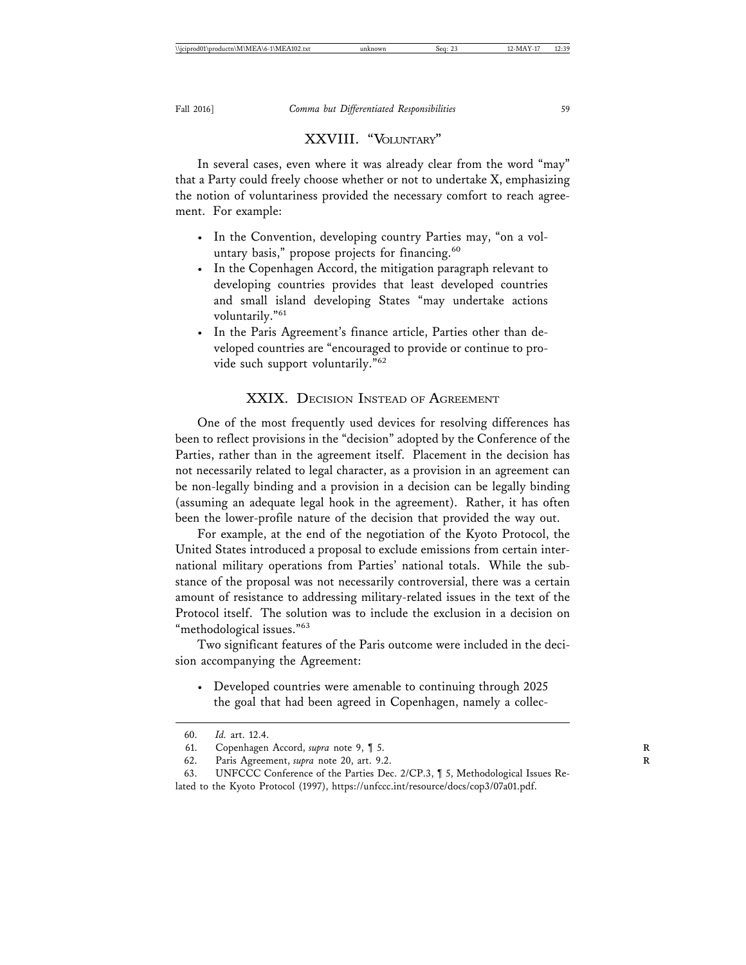## XXVIII. "VOLUNTARY"

In several cases, even where it was already clear from the word "may" that a Party could freely choose whether or not to undertake X, emphasizing the notion of voluntariness provided the necessary comfort to reach agreement. For example:

- In the Convention, developing country Parties may, "on a voluntary basis," propose projects for financing.<sup>60</sup>
- In the Copenhagen Accord, the mitigation paragraph relevant to developing countries provides that least developed countries and small island developing States "may undertake actions voluntarily."61
- In the Paris Agreement's finance article, Parties other than developed countries are "encouraged to provide or continue to provide such support voluntarily."<sup>62</sup>

## XXIX. DECISION INSTEAD OF AGREEMENT

One of the most frequently used devices for resolving differences has been to reflect provisions in the "decision" adopted by the Conference of the Parties, rather than in the agreement itself. Placement in the decision has not necessarily related to legal character, as a provision in an agreement can be non-legally binding and a provision in a decision can be legally binding (assuming an adequate legal hook in the agreement). Rather, it has often been the lower-profile nature of the decision that provided the way out.

For example, at the end of the negotiation of the Kyoto Protocol, the United States introduced a proposal to exclude emissions from certain international military operations from Parties' national totals. While the substance of the proposal was not necessarily controversial, there was a certain amount of resistance to addressing military-related issues in the text of the Protocol itself. The solution was to include the exclusion in a decision on "methodological issues."<sup>63</sup>

Two significant features of the Paris outcome were included in the decision accompanying the Agreement:

• Developed countries were amenable to continuing through 2025 the goal that had been agreed in Copenhagen, namely a collec-

<sup>60.</sup> *Id.* art. 12.4.

<sup>61.</sup> Copenhagen Accord, *supra* note 9, ¶ 5. **R**

<sup>62.</sup> Paris Agreement, *supra* note 20, art. 9.2. **R**

<sup>63.</sup> UNFCCC Conference of the Parties Dec. 2/CP.3, ¶ 5, Methodological Issues Related to the Kyoto Protocol (1997), https://unfccc.int/resource/docs/cop3/07a01.pdf.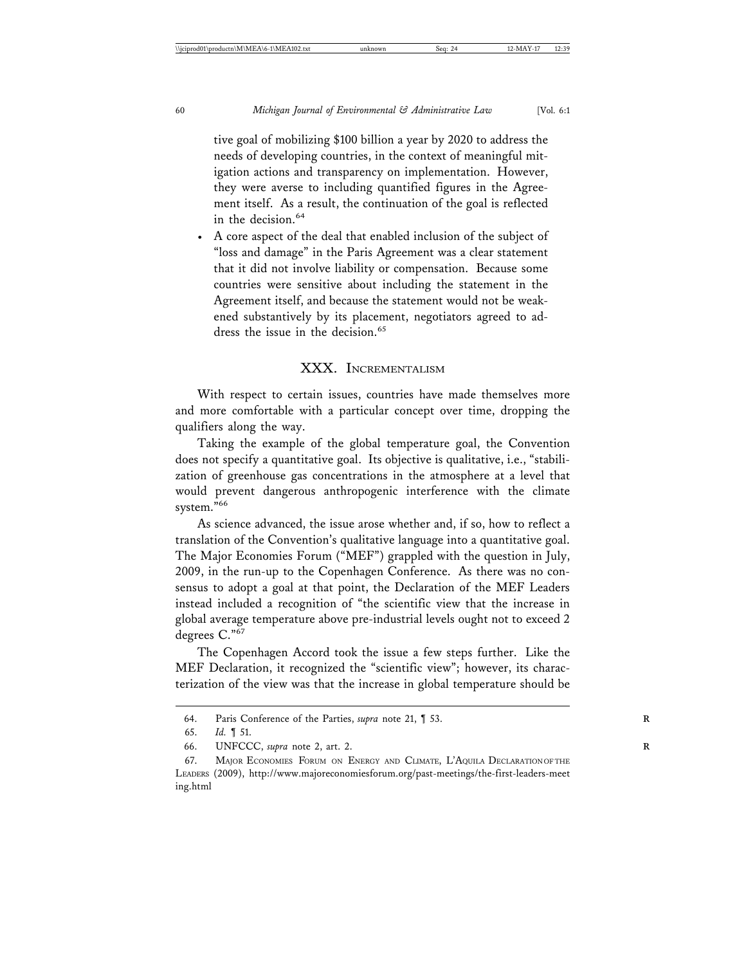tive goal of mobilizing \$100 billion a year by 2020 to address the needs of developing countries, in the context of meaningful mitigation actions and transparency on implementation. However, they were averse to including quantified figures in the Agreement itself. As a result, the continuation of the goal is reflected in the decision.<sup>64</sup>

• A core aspect of the deal that enabled inclusion of the subject of "loss and damage" in the Paris Agreement was a clear statement that it did not involve liability or compensation. Because some countries were sensitive about including the statement in the Agreement itself, and because the statement would not be weakened substantively by its placement, negotiators agreed to address the issue in the decision.<sup>65</sup>

## XXX. INCREMENTALISM

With respect to certain issues, countries have made themselves more and more comfortable with a particular concept over time, dropping the qualifiers along the way.

Taking the example of the global temperature goal, the Convention does not specify a quantitative goal. Its objective is qualitative, i.e., "stabilization of greenhouse gas concentrations in the atmosphere at a level that would prevent dangerous anthropogenic interference with the climate system."66

As science advanced, the issue arose whether and, if so, how to reflect a translation of the Convention's qualitative language into a quantitative goal. The Major Economies Forum ("MEF") grappled with the question in July, 2009, in the run-up to the Copenhagen Conference. As there was no consensus to adopt a goal at that point, the Declaration of the MEF Leaders instead included a recognition of "the scientific view that the increase in global average temperature above pre-industrial levels ought not to exceed 2 degrees C."<sup>67</sup>

The Copenhagen Accord took the issue a few steps further. Like the MEF Declaration, it recognized the "scientific view"; however, its characterization of the view was that the increase in global temperature should be

<sup>64.</sup> Paris Conference of the Parties, *supra* note 21, ¶ 53. **R**

<sup>65.</sup> *Id.* ¶ 51.

<sup>66.</sup> UNFCCC, *supra* note 2, art. 2. **R**

<sup>67.</sup> MAJOR ECONOMIES FORUM ON ENERGY AND CLIMATE, L'AQUILA DECLARATION OF THE LEADERS (2009), http://www.majoreconomiesforum.org/past-meetings/the-first-leaders-meet ing.html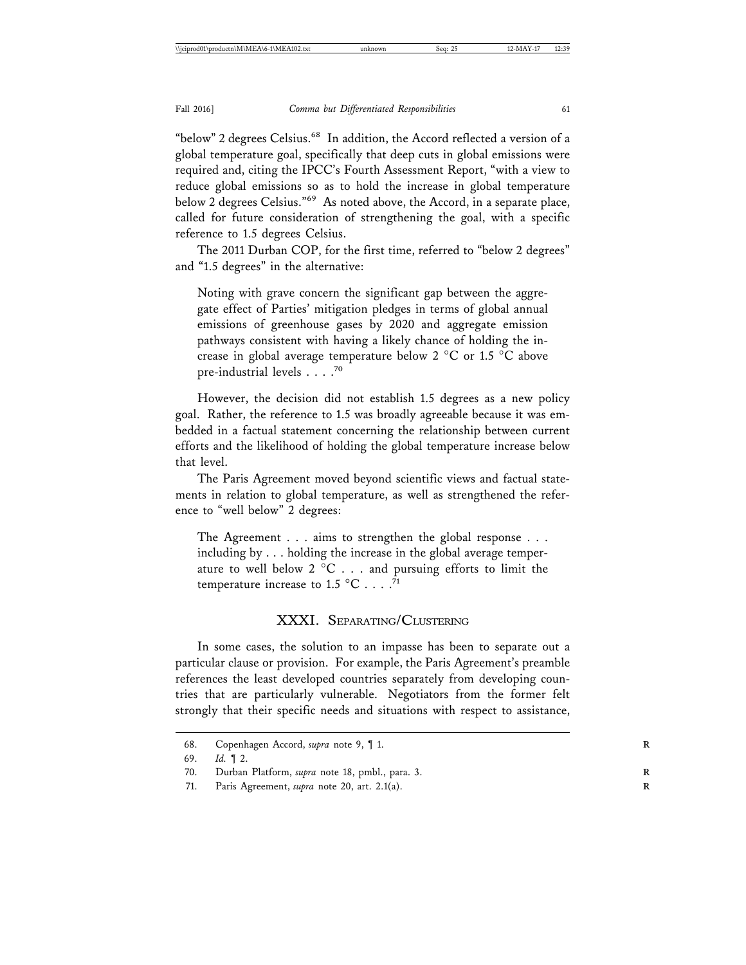"below" 2 degrees Celsius.<sup>68</sup> In addition, the Accord reflected a version of a global temperature goal, specifically that deep cuts in global emissions were required and, citing the IPCC's Fourth Assessment Report, "with a view to reduce global emissions so as to hold the increase in global temperature below 2 degrees Celsius."69 As noted above, the Accord, in a separate place, called for future consideration of strengthening the goal, with a specific reference to 1.5 degrees Celsius.

The 2011 Durban COP, for the first time, referred to "below 2 degrees" and "1.5 degrees" in the alternative:

Noting with grave concern the significant gap between the aggregate effect of Parties' mitigation pledges in terms of global annual emissions of greenhouse gases by 2020 and aggregate emission pathways consistent with having a likely chance of holding the increase in global average temperature below 2 °C or 1.5 °C above pre-industrial levels . . . .<sup>70</sup>

However, the decision did not establish 1.5 degrees as a new policy goal. Rather, the reference to 1.5 was broadly agreeable because it was embedded in a factual statement concerning the relationship between current efforts and the likelihood of holding the global temperature increase below that level.

The Paris Agreement moved beyond scientific views and factual statements in relation to global temperature, as well as strengthened the reference to "well below" 2 degrees:

The Agreement . . . aims to strengthen the global response . . . including by . . . holding the increase in the global average temperature to well below  $2^{\circ}C$ ... and pursuing efforts to limit the temperature increase to 1.5  $^{\circ}$ C . . . . <sup>71</sup>

### XXXI. SEPARATING/CLUSTERING

In some cases, the solution to an impasse has been to separate out a particular clause or provision. For example, the Paris Agreement's preamble references the least developed countries separately from developing countries that are particularly vulnerable. Negotiators from the former felt strongly that their specific needs and situations with respect to assistance,

<sup>68.</sup> Copenhagen Accord, *supra* note 9, ¶ 1. **R**

<sup>69.</sup> *Id.* ¶ 2.

<sup>70.</sup> Durban Platform, *supra* note 18, pmbl., para. 3. **R**

<sup>71.</sup> Paris Agreement, *supra* note 20, art. 2.1(a). **R**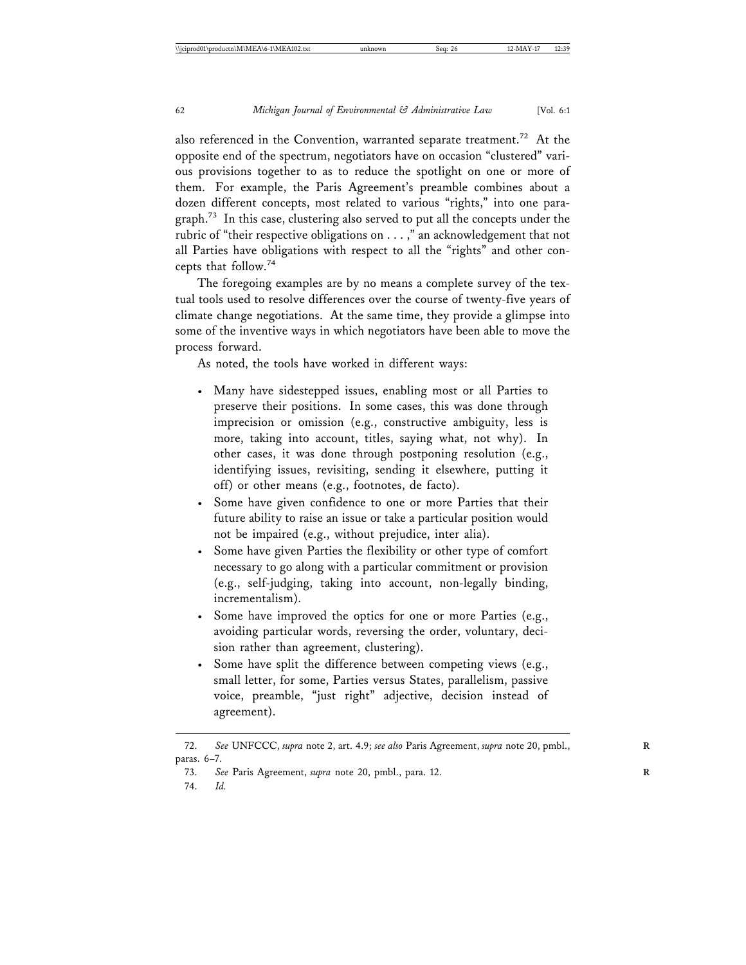also referenced in the Convention, warranted separate treatment.<sup>72</sup> At the opposite end of the spectrum, negotiators have on occasion "clustered" various provisions together to as to reduce the spotlight on one or more of them. For example, the Paris Agreement's preamble combines about a dozen different concepts, most related to various "rights," into one paragraph.<sup>73</sup> In this case, clustering also served to put all the concepts under the rubric of "their respective obligations on . . . ," an acknowledgement that not all Parties have obligations with respect to all the "rights" and other concepts that follow.<sup>74</sup>

The foregoing examples are by no means a complete survey of the textual tools used to resolve differences over the course of twenty-five years of climate change negotiations. At the same time, they provide a glimpse into some of the inventive ways in which negotiators have been able to move the process forward.

As noted, the tools have worked in different ways:

- Many have sidestepped issues, enabling most or all Parties to preserve their positions. In some cases, this was done through imprecision or omission (e.g., constructive ambiguity, less is more, taking into account, titles, saying what, not why). In other cases, it was done through postponing resolution (e.g., identifying issues, revisiting, sending it elsewhere, putting it off) or other means (e.g., footnotes, de facto).
- Some have given confidence to one or more Parties that their future ability to raise an issue or take a particular position would not be impaired (e.g., without prejudice, inter alia).
- Some have given Parties the flexibility or other type of comfort necessary to go along with a particular commitment or provision (e.g., self-judging, taking into account, non-legally binding, incrementalism).
- Some have improved the optics for one or more Parties (e.g., avoiding particular words, reversing the order, voluntary, decision rather than agreement, clustering).
- Some have split the difference between competing views (e.g., small letter, for some, Parties versus States, parallelism, passive voice, preamble, "just right" adjective, decision instead of agreement).

<sup>72.</sup> *See* UNFCCC, *supra* note 2, art. 4.9; *see also* Paris Agreement, *supra* note 20, pmbl., **R** paras. 6–7.

<sup>73.</sup> *See* Paris Agreement, *supra* note 20, pmbl., para. 12. **R**

<sup>74.</sup> *Id.*